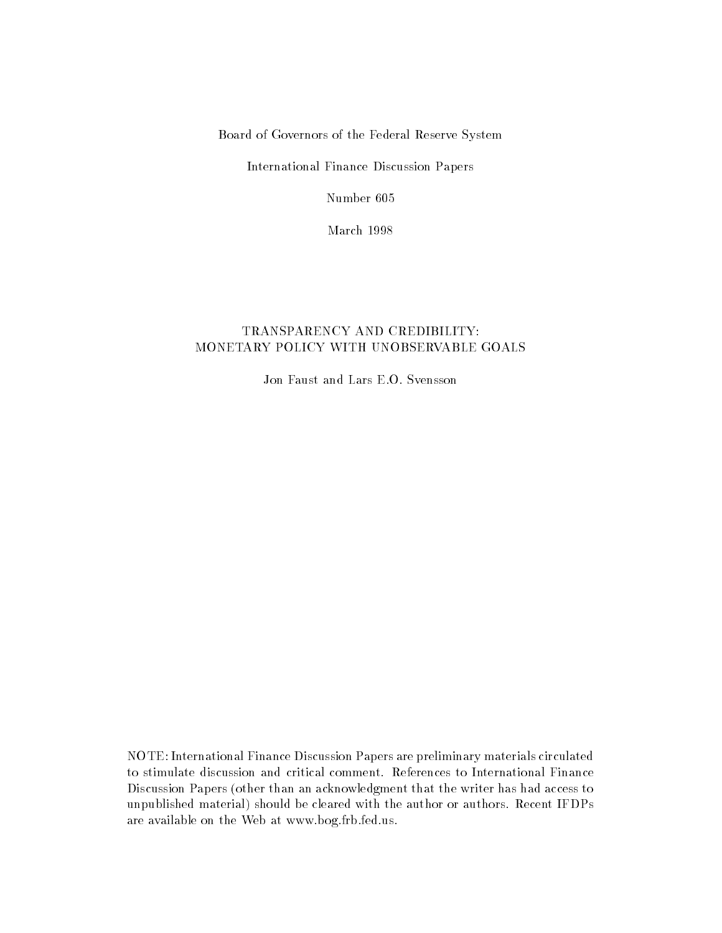Board of Governors of the Federal Reserve System

International Finance Discussion Papers

Number 605

March 1998

# TRANSPARENCY AND CREDIBILITY: MONETARY POLICY WITH UNOBSERVABLE GOALS

Jon Faust and Lars E.O. Svensson

NOTE: International Finance Discussion Papers are preliminary materials circulated to stimulate discussion and critical comment. References to International Finance Discussion Papers (other than an acknowledgment that the writer has had access to unpublished material) should be cleared with the author or authors. Recent IFDPs are available on the Web at www.bog.frb.fed.us.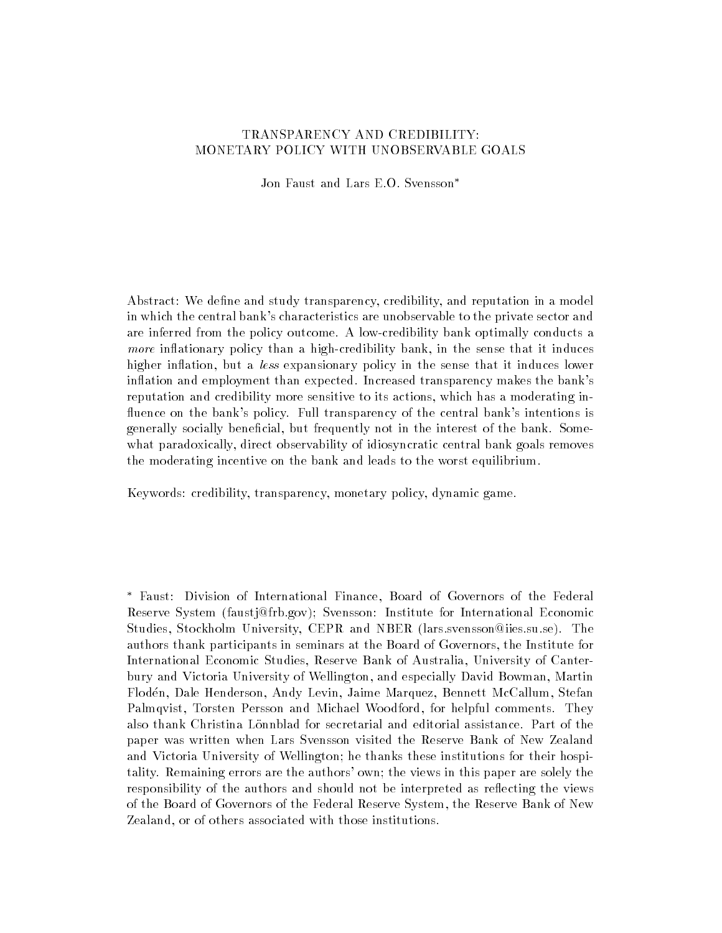## TRANSPARENCY AND CREDIBILITY: MONETARY POLICY WITH UNOBSERVABLE GOALS

Jon Faust and Lars E.O. Svensson

Abstract: We define and study transparency, credibility, and reputation in a model in which the central bank's characteristics are unobservable to the private sector and are inferred from the policy outcome. A low-credibility bank optimally conducts a more inflationary policy than a high-credibility bank, in the sense that it induces higher inflation, but a less expansionary policy in the sense that it induces lower inflation and employment than expected. Increased transparency makes the bank's reputation and credibility more sensitive to its actions, which has a moderating in fluence on the bank's policy. Full transparency of the central bank's intentions is generally socially beneficial, but frequently not in the interest of the bank. Somewhat paradoxically, direct observability of idiosyncratic central bank goals removes the moderating incentive on the bank and leads to the worst equilibrium.

Keywords: credibility, transparency, monetary policy, dynamic game.

 Faust: Division of International Finance, Board of Governors of the Federal Reserve System (faustj@frb.gov); Svensson: Institute for International Economic Studies, Stockholm University, CEPR and NBER (lars.svensson@iies.su.se). The authors thank participants in seminars at the Board of Governors, the Institute for International Economic Studies, Reserve Bank of Australia, University of Canterbury and Victoria University of Wellington, and especially David Bowman, Martin Floden, Dale Henderson, Andy Levin, Jaime Marquez, Bennett McCallum, Stefan Palmqvist, Torsten Persson and Michael Woodford, for helpful comments. They also thank Christina Lönnblad for secretarial and editorial assistance. Part of the paper was written when Lars Svensson visited the Reserve Bank of New Zealand and Victoria University of Wellington; he thanks these institutions for their hospitality. Remaining errors are the authors' own; the views in this paper are solely the responsibility of the authors and should not be interpreted as reflecting the views of the Board of Governors of the Federal Reserve System, the Reserve Bank of New Zealand, or of others associated with those institutions.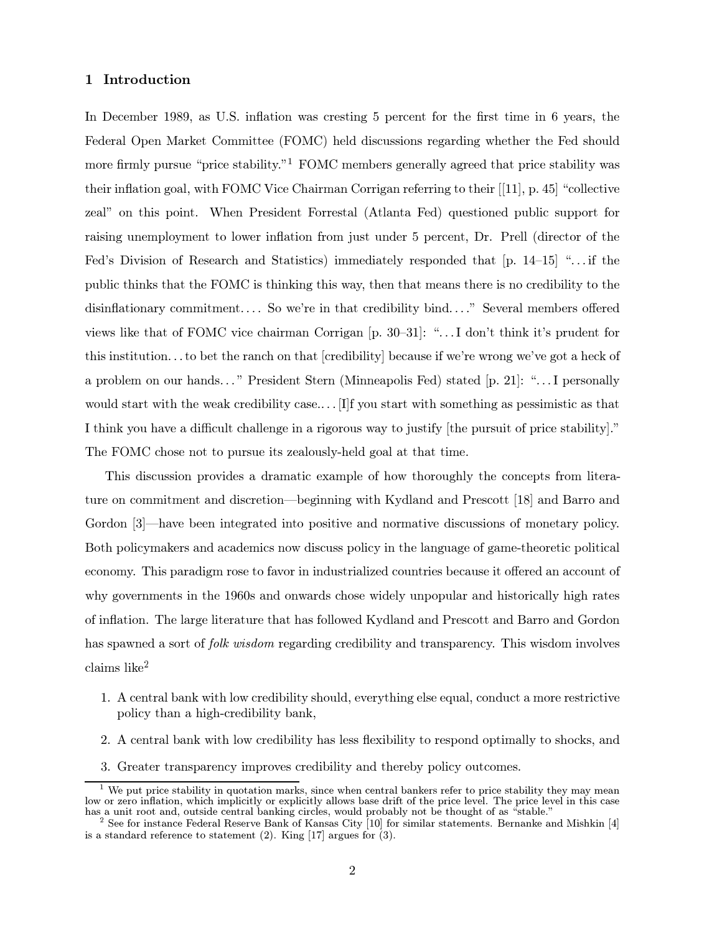## 1 Introduction

In December 1989, as U.S. inflation was cresting 5 percent for the first time in 6 years, the Federal Open Market Committee (FOMC) held discussions regarding whether the Fed should more firmly pursue "price stability."<sup>1</sup> FOMC members generally agreed that price stability was their inflation goal, with FOMC Vice Chairman Corrigan referring to their  $[11]$ , p. 45 "collective" zeal" on this point. When President Forrestal (Atlanta Fed) questioned public support for raising unemployment to lower inflation from just under 5 percent, Dr. Prell (director of the Fed's Division of Research and Statistics) immediately responded that  $[p, 14-15]$  "... if the public thinks that the FOMC is thinking this way, then that means there is no credibility to the disinflationary commitment.... So we're in that credibility bind...." Several members offered views like that of FOMC vice chairman Corrigan  $[p, 30-31]$ : "... I don't think it's prudent for this institution... to bet the ranch on that [credibility] because if we're wrong we've got a heck of a problem on our hands..." President Stern (Minneapolis Fed) stated [p. 21]: "... I personally would start with the weak credibility case.... [I] f you start with something as pessimistic as that I think you have a difficult challenge in a rigorous way to justify the pursuit of price stability." The FOMC chose not to pursue its zealously-held goal at that time.

This discussion provides a dramatic example of how thoroughly the concepts from literature on commitment and discretion—beginning with Kydland and Prescott [18] and Barro and Gordon [3]—have been integrated into positive and normative discussions of monetary policy. Both policymakers and academics now discuss policy in the language of game-theoretic political economy. This paradigm rose to favor in industrialized countries because it offered an account of why governments in the 1960s and onwards chose widely unpopular and historically high rates of inflation. The large literature that has followed Kydland and Prescott and Barro and Gordon has spawned a sort of *folk wisdom* regarding credibility and transparency. This wisdom involves  $clains$  like<sup>2</sup>

- 1. A central bank with low credibility should, everything else equal, conduct a more restrictive policy than a high-credibility bank,
- 2. A central bank with low credibility has less flexibility to respond optimally to shocks, and
- 3. Greater transparency improves credibility and thereby policy outcomes.

We put price stability in quotation marks, since when central bankers refer to price stability they may mean low or zero inflation, which implicitly or explicitly allows base drift of the price level. The price level in this case has a unit root and, outside central banking circles, would probably not be thought of as "stable."

 $2$  See for instance Federal Reserve Bank of Kansas City [10] for similar statements. Bernanke and Mishkin [4] is a standard reference to statement (2). King [17] argues for  $(3)$ .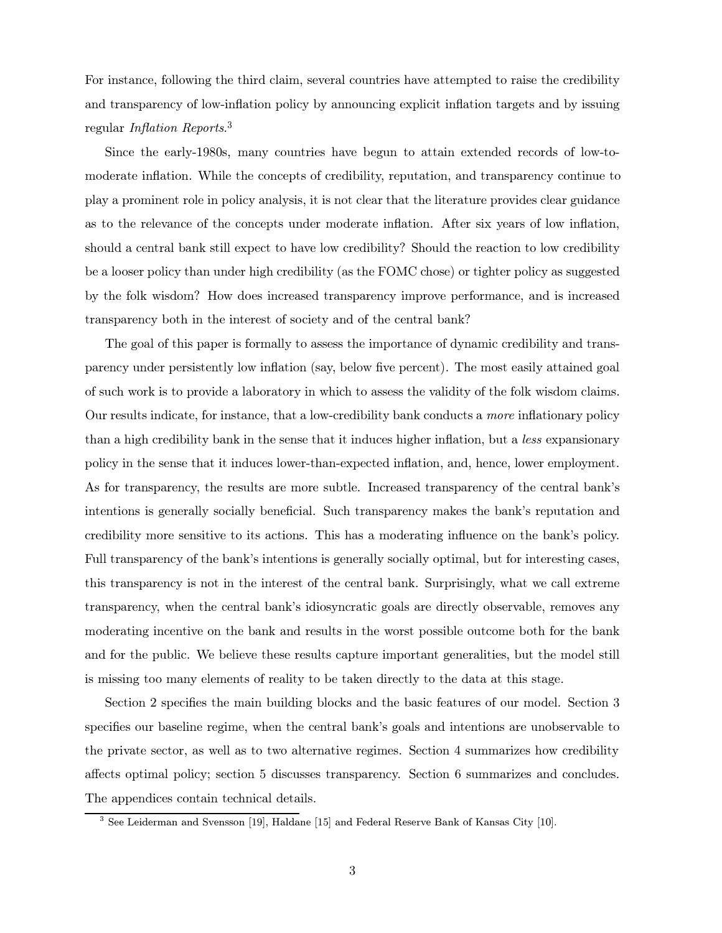For instance, following the third claim, several countries have attempted to raise the credibility and transparency of low-inflation policy by announcing explicit inflation targets and by issuing regular Inflation Reports.<sup>3</sup>

Since the early-1980s, many countries have begun to attain extended records of low-tomoderate inflation. While the concepts of credibility, reputation, and transparency continue to play a prominent role in policy analysis, it is not clear that the literature provides clear guidance as to the relevance of the concepts under moderate inflation. After six years of low inflation, should a central bank still expect to have low credibility? Should the reaction to low credibility be a looser policy than under high credibility (as the FOMC chose) or tighter policy as suggested by the folk wisdom? How does increased transparency improve performance, and is increased transparency both in the interest of society and of the central bank?

The goal of this paper is formally to assess the importance of dynamic credibility and transparency under persistently low inflation (say, below five percent). The most easily attained goal of such work is to provide a laboratory in which to assess the validity of the folk wisdom claims. Our results indicate, for instance, that a low-credibility bank conducts a more inflationary policy than a high credibility bank in the sense that it induces higher inflation, but a less expansionary policy in the sense that it induces lower-than-expected inflation, and, hence, lower employment. As for transparency, the results are more subtle. Increased transparency of the central bank's intentions is generally socially beneficial. Such transparency makes the bank's reputation and credibility more sensitive to its actions. This has a moderating influence on the bank's policy. Full transparency of the bank's intentions is generally socially optimal, but for interesting cases, this transparency is not in the interest of the central bank. Surprisingly, what we call extreme transparency, when the central bank's idiosyncratic goals are directly observable, removes any moderating incentive on the bank and results in the worst possible outcome both for the bank and for the public. We believe these results capture important generalities, but the model still is missing too many elements of reality to be taken directly to the data at this stage.

Section 2 specifies the main building blocks and the basic features of our model. Section 3 specifies our baseline regime, when the central bank's goals and intentions are unobservable to the private sector, as well as to two alternative regimes. Section 4 summarizes how credibility affects optimal policy; section 5 discusses transparency. Section 6 summarizes and concludes. The appendices contain technical details.

 $3$  See Leiderman and Svensson [19], Haldane [15] and Federal Reserve Bank of Kansas City [10].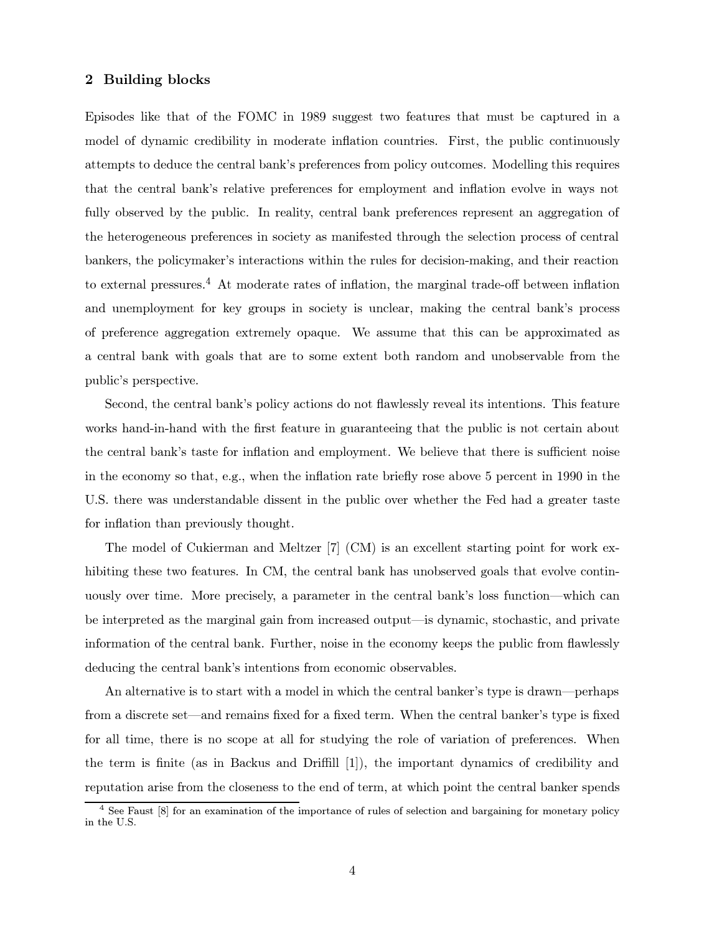## 2 Building blocks

Episodes like that of the FOMC in 1989 suggest two features that must be captured in a model of dynamic credibility in moderate inflation countries. First, the public continuously attempts to deduce the central bank's preferences from policy outcomes. Modelling this requires that the central bank's relative preferences for employment and inflation evolve in ways not fully observed by the public. In reality, central bank preferences represent an aggregation of the heterogeneous preferences in society as manifested through the selection process of central bankers, the policymaker's interactions within the rules for decision-making, and their reaction to external pressures.<sup>4</sup> At moderate rates of inflation, the marginal trade-off between inflation and unemployment for key groups in society is unclear, making the central bank's process of preference aggregation extremely opaque. We assume that this can be approximated as a central bank with goals that are to some extent both random and unobservable from the public's perspective.

Second, the central bank's policy actions do not flawlessly reveal its intentions. This feature works hand-in-hand with the first feature in guaranteeing that the public is not certain about the central bank's taste for inflation and employment. We believe that there is sufficient noise in the economy so that, e.g., when the inflation rate briefly rose above 5 percent in 1990 in the U.S. there was understandable dissent in the public over whether the Fed had a greater taste for inflation than previously thought.

The model of Cukierman and Meltzer  $[7]$  (CM) is an excellent starting point for work exhibiting these two features. In CM, the central bank has unobserved goals that evolve continuously over time. More precisely, a parameter in the central bank's loss function—which can be interpreted as the marginal gain from increased output—is dynamic, stochastic, and private information of the central bank. Further, noise in the economy keeps the public from flawlessly deducing the central bank's intentions from economic observables.

An alternative is to start with a model in which the central banker's type is drawn—perhaps from a discrete set—and remains fixed for a fixed term. When the central banker's type is fixed for all time, there is no scope at all for studying the role of variation of preferences. When the term is finite (as in Backus and Driffill  $[1]$ ), the important dynamics of credibility and reputation arise from the closeness to the end of term, at which point the central banker spends

<sup>&</sup>lt;sup>4</sup> See Faust  $[8]$  for an examination of the importance of rules of selection and bargaining for monetary policy in the U.S.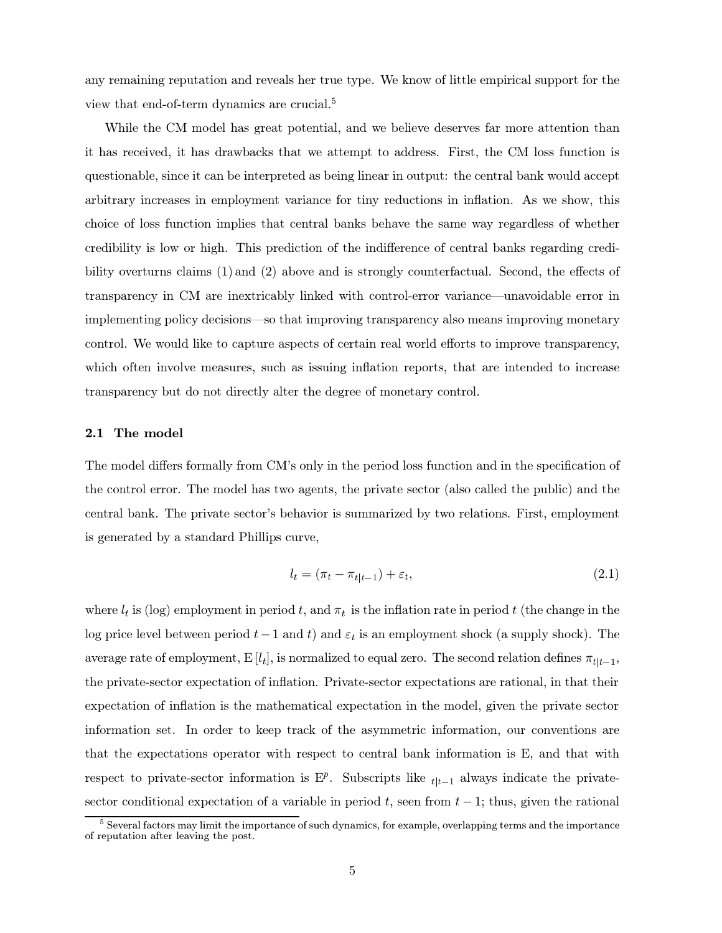any remaining reputation and reveals her true type. We know of little empirical support for the view that end-of-term dynamics are crucial.<sup>5</sup>

While the CM model has great potential, and we believe deserves far more attention than it has received, it has drawbacks that we attempt to address. First, the CM loss function is questionable, since it can be interpreted as being linear in output: the central bank would accept arbitrary increases in employment variance for tiny reductions in inflation. As we show, this choice of loss function implies that central banks behave the same way regardless of whether credibility is low or high. This prediction of the indifference of central banks regarding credibility overturns claims (1) and (2) above and is strongly counterfactual. Second, the effects of transparency in CM are inextricably linked with control-error variance—unavoidable error in implementing policy decisions—so that improving transparency also means improving monetary control. We would like to capture aspects of certain real world efforts to improve transparency, which often involve measures, such as issuing inflation reports, that are intended to increase transparency but do not directly alter the degree of monetary control.

## 2.1 The model

The model differs formally from CM's only in the period loss function and in the specification of the control error. The model has two agents, the private sector (also called the public) and the central bank. The private sector's behavior is summarized by two relations. First, employment is generated by a standard Phillips curve,

$$
l_t = (\pi_t - \pi_{t|t-1}) + \varepsilon_t,\tag{2.1}
$$

where  $l_t$  is (log) employment in period t, and  $\pi_t$  is the inflation rate in period t (the change in the log price level between period  $t-1$  and  $t$ ) and  $\varepsilon_t$  is an employment shock (a supply shock). The average rate of employment, E  $[l_t]$ , is normalized to equal zero. The second relation defines  $\pi_{t|t-1}$ , the private-sector expectation of inflation. Private-sector expectations are rational, in that their expectation of inflation is the mathematical expectation in the model, given the private sector information set. In order to keep track of the asymmetric information, our conventions are that the expectations operator with respect to central bank information is E, and that with respect to private-sector information is  $E^p$ . Subscripts like  $_{tl-1}$  always indicate the privatesector conditional expectation of a variable in period t, seen from  $t-1$ ; thus, given the rational

<sup>&</sup>lt;sup>5</sup> Several factors may limit the importance of such dynamics, for example, overlapping terms and the importance of reputation after leaving the post.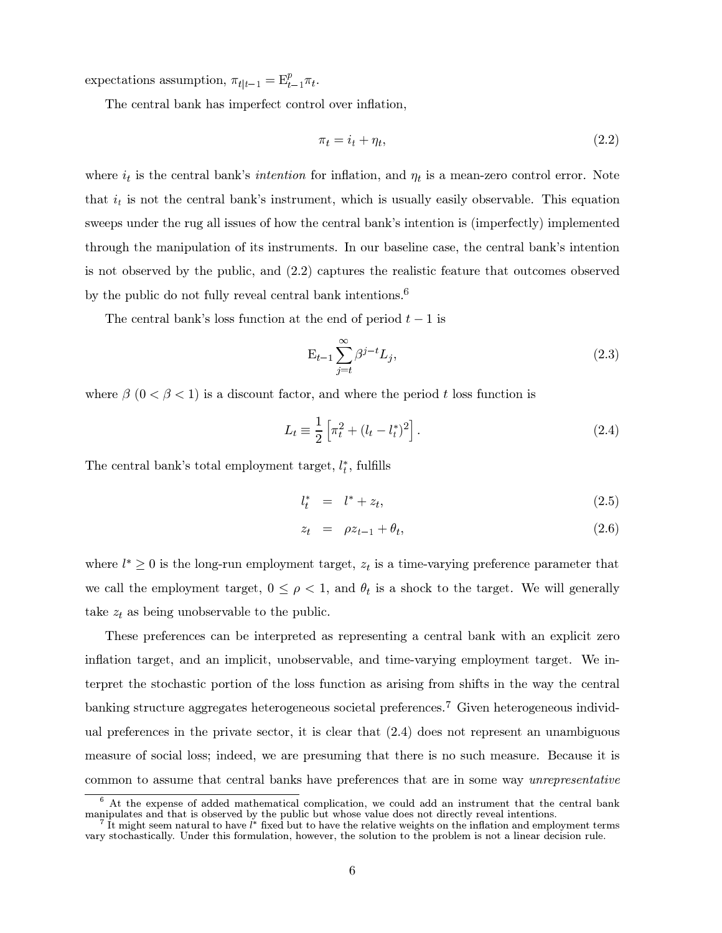expectations assumption,  $\pi_{t|t-1} = \mathbf{E}_{t-1}^p \pi_t$ .

The central bank has imperfect control over inflation,

$$
\pi_t = i_t + \eta_t,\tag{2.2}
$$

where  $i_t$  is the central bank's *intention* for inflation, and  $\eta_t$  is a mean-zero control error. Note that  $i_t$  is not the central bank's instrument, which is usually easily observable. This equation sweeps under the rug all issues of how the central bank's intention is (imperfectly) implemented through the manipulation of its instruments. In our baseline case, the central bank's intention is not observed by the public, and  $(2.2)$  captures the realistic feature that outcomes observed by the public do not fully reveal central bank intentions.<sup>6</sup>

The central bank's loss function at the end of period  $t-1$  is

$$
\mathbf{E}_{t-1} \sum_{j=t}^{\infty} \beta^{j-t} L_j,
$$
\n(2.3)

where  $\beta$  ( $0 < \beta < 1$ ) is a discount factor, and where the period t loss function is

$$
L_t \equiv \frac{1}{2} \left[ \pi_t^2 + (l_t - l_t^*)^2 \right].
$$
 (2.4)

The central bank's total employment target,  $l_t^*$ , fulfills

$$
l_t^* = l^* + z_t, \tag{2.5}
$$

$$
z_t = \rho z_{t-1} + \theta_t, \qquad (2.6)
$$

where  $l^* \geq 0$  is the long-run employment target,  $z_t$  is a time-varying preference parameter that we call the employment target,  $0 \le \rho < 1$ , and  $\theta_t$  is a shock to the target. We will generally take  $z_t$  as being unobservable to the public.

These preferences can be interpreted as representing a central bank with an explicit zero inflation target, and an implicit, unobservable, and time-varying employment target. We interpret the stochastic portion of the loss function as arising from shifts in the way the central banking structure aggregates heterogeneous societal preferences.<sup>7</sup> Given heterogeneous individand preferences in the private sector, it is clear that  $(2.4)$  does not represent an unambiguous measure of social loss; indeed, we are presuming that there is no such measure. Because it is common to assume that central banks have preferences that are in some way *unrepresentative* 

At the expense of added mathematical complication, we could add an instrument that the central bank manipulates and that is observed by the public but whose value does not directly reveal intentions.<br><sup>7</sup> It might seem natural to have *l*<sup>\*</sup> fixed but to have the relative weights on the inflation and employment terms

vary stochastically. Under this formulation, however, the solution to the problem is not a linear decision rule.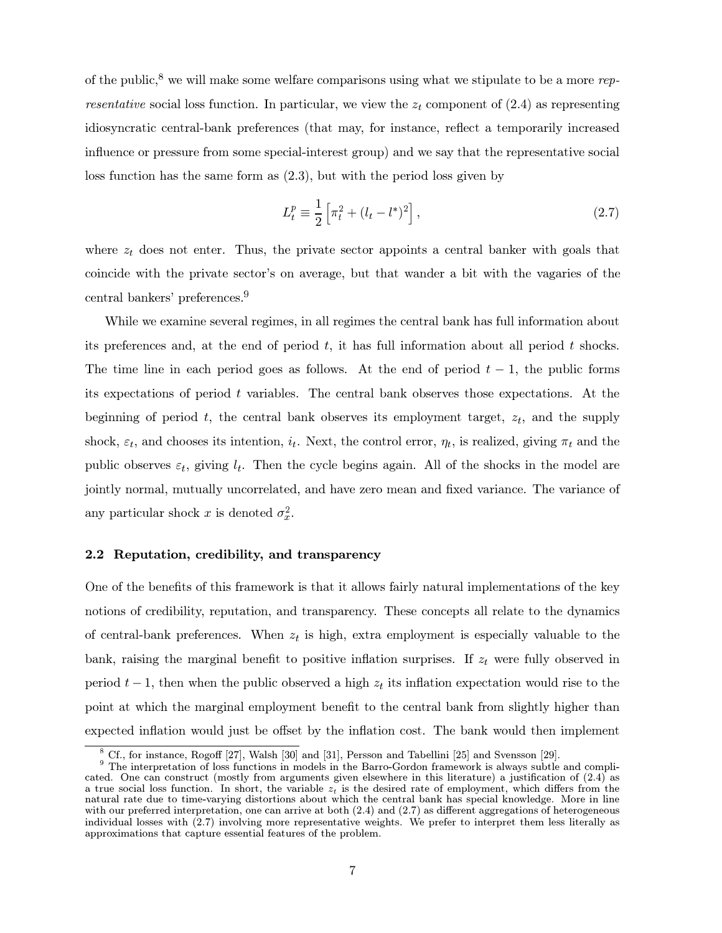of the public,<sup>8</sup> we will make some welfare comparisons using what we stipulate to be a more  $rep$ *resentative* social loss function. In particular, we view the  $z_t$  component of (2.4) as representing idiosyncratic central-bank preferences (that may, for instance, reflect a temporarily increased influence or pressure from some special-interest group) and we say that the representative social loss function has the same form as  $(2.3)$ , but with the period loss given by

$$
L_t^p \equiv \frac{1}{2} \left[ \pi_t^2 + (l_t - l^*)^2 \right],\tag{2.7}
$$

where  $z_t$  does not enter. Thus, the private sector appoints a central banker with goals that coincide with the private sector's on average, but that wander a bit with the vagaries of the central bankers' preferences.<sup>9</sup>

While we examine several regimes, in all regimes the central bank has full information about its preferences and, at the end of period  $t$ , it has full information about all period  $t$  shocks. The time line in each period goes as follows. At the end of period  $t-1$ , the public forms its expectations of period  $t$  variables. The central bank observes those expectations. At the beginning of period t, the central bank observes its employment target,  $z_t$ , and the supply shock,  $\varepsilon_t$ , and chooses its intention,  $i_t$ . Next, the control error,  $\eta_t$ , is realized, giving  $\pi_t$  and the public observes  $\varepsilon_t$ , giving  $l_t$ . Then the cycle begins again. All of the shocks in the model are jointly normal, mutually uncorrelated, and have zero mean and fixed variance. The variance of any particular shock x is denoted  $\sigma_x^2$ .

#### 2.2 Reputation, credibility, and transparency

One of the benefits of this framework is that it allows fairly natural implementations of the key notions of credibility, reputation, and transparency. These concepts all relate to the dynamics of central-bank preferences. When  $z_t$  is high, extra employment is especially valuable to the bank, raising the marginal benefit to positive inflation surprises. If  $z_t$  were fully observed in period  $t-1$ , then when the public observed a high  $z_t$  its inflation expectation would rise to the point at which the marginal employment benefit to the central bank from slightly higher than expected inflation would just be offset by the inflation cost. The bank would then implement

Cf., for instance, Rogoff [27], Walsh [30] and [31], Persson and Tabellini [25] and Svensson [29].

<sup>&</sup>lt;sup>9</sup> The interpretation of loss functions in models in the Barro-Gordon framework is always subtle and complicated. One can construct (mostly from arguments given elsewhere in this literature) a justification of  $(2.4)$  as a true social loss function. In short, the variable  $z_t$  is the desired rate of employment, which differs from the natural rate due to time-varying distortions about which the central bank has special knowledge. More in line with our preferred interpretation, one can arrive at both  $(2.4)$  and  $(2.7)$  as different aggregations of heterogeneous individual losses with (2.7) involving more representative weights. We prefer to interpret them less literally as approximations that capture essential features of the problem.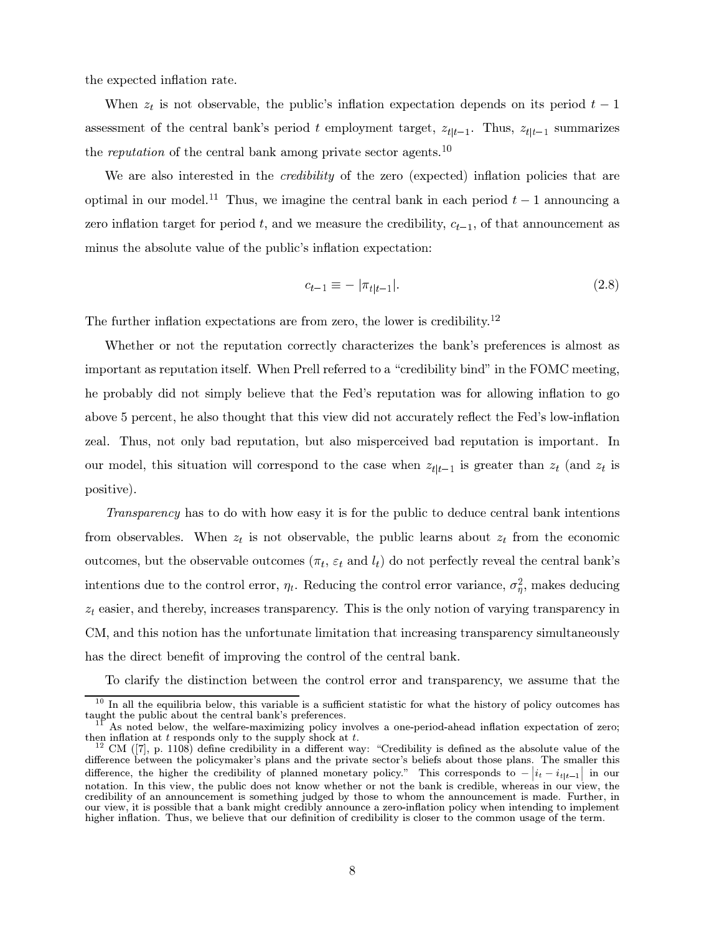the expected inflation rate.

When  $z_t$  is not observable, the public's inflation expectation depends on its period  $t-1$ assessment of the central bank's period t employment target,  $z_{t|t-1}$ . Thus,  $z_{t|t-1}$  summarizes the reputation of the central bank among private sector agents.<sup>10</sup>

We are also interested in the *credibility* of the zero (expected) inflation policies that are optimal in our model.<sup>11</sup> Thus, we imagine the central bank in each period  $t-1$  announcing a zero inflation target for period t, and we measure the credibility,  $c_{t-1}$ , of that announcement as minus the absolute value of the public's inflation expectation:

$$
c_{t-1} \equiv -|\pi_{t|t-1}|.\tag{2.8}
$$

The further inflation expectations are from zero, the lower is credibility.<sup>12</sup>

Whether or not the reputation correctly characterizes the bank's preferences is almost as important as reputation itself. When Prell referred to a "credibility bind" in the FOMC meeting, he probably did not simply believe that the Fed's reputation was for allowing inflation to go above 5 percent, he also thought that this view did not accurately reflect the Fed's low-inflation zeal. Thus, not only bad reputation, but also misperceived bad reputation is important. In our model, this situation will correspond to the case when  $z_{t|t-1}$  is greater than  $z_t$  (and  $z_t$  is positive).

Transparency has to do with how easy it is for the public to deduce central bank intentions from observables. When  $z_t$  is not observable, the public learns about  $z_t$  from the economic outcomes, but the observable outcomes  $(\pi_t, \varepsilon_t \text{ and } l_t)$  do not perfectly reveal the central bank's intentions due to the control error,  $\eta_t$ . Reducing the control error variance,  $\sigma_n^2$ , makes deducing  $z_t$  easier, and thereby, increases transparency. This is the only notion of varying transparency in CM, and this notion has the unfortunate limitation that increasing transparency simultaneously has the direct benefit of improving the control of the central bank.

To clarify the distinction between the control error and transparency, we assume that the

 $^{10}$  In all the equilibria below, this variable is a sufficient statistic for what the history of policy outcomes has taught the public about the central bank's preferences.<br> $\frac{11}{11}$  As noted below, the welfare-maximizing policy involves a one-period-ahead inflation expectation of zero;

then inflation at t responds only to the supply shock at t.<br><sup>12</sup> CM ([7], p. 1108) define credibility in a different way: "Credibility is defined as the absolute value of the

difference between the policymaker's plans and the private sector's beliefs about those plans. The smaller this difference, the higher the credibility of planned monetary policy." This corresponds to  $-|i_t - i_t|_{t-1}$  in our notation. In this view, the public does not know whether or not the bank is credible, whereas in our view, the credibility of an announcement is something judged by those to whom the announcement is made. Further, in our view, it is possible that a bank might credibly announce a zero-inflation policy when intending to implement higher inflation. Thus, we believe that our definition of credibility is closer to the common usage of the term.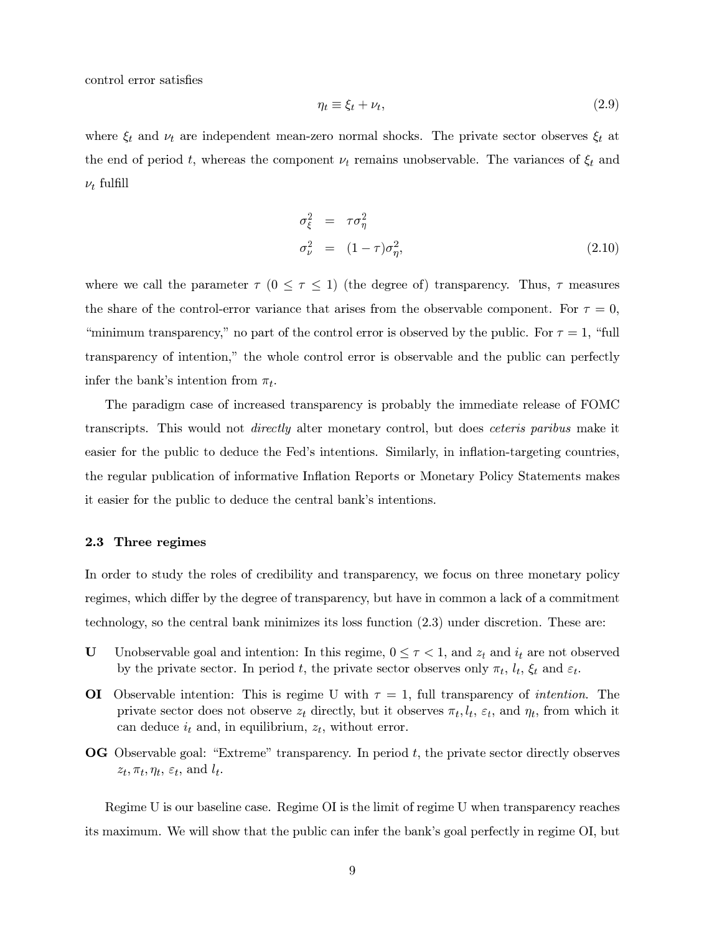control error satisfies

$$
\eta_t \equiv \xi_t + \nu_t,\tag{2.9}
$$

where  $\xi_t$  and  $\nu_t$  are independent mean-zero normal shocks. The private sector observes  $\xi_t$  at the end of period t, whereas the component  $\nu_t$  remains unobservable. The variances of  $\xi_t$  and  $\nu_t$  fulfill

$$
\sigma_{\xi}^{2} = \tau \sigma_{\eta}^{2}
$$
  
\n
$$
\sigma_{\nu}^{2} = (1 - \tau) \sigma_{\eta}^{2},
$$
\n(2.10)

where we call the parameter  $\tau$  ( $0 \leq \tau \leq 1$ ) (the degree of) transparency. Thus,  $\tau$  measures the share of the control-error variance that arises from the observable component. For  $\tau = 0$ , "minimum transparency," no part of the control error is observed by the public. For  $\tau = 1$ , "full transparency of intention," the whole control error is observable and the public can perfectly infer the bank's intention from  $\pi_t$ .

The paradigm case of increased transparency is probably the immediate release of FOMC transcripts. This would not *directly* alter monetary control, but does *ceteris paribus* make it easier for the public to deduce the Fed's intentions. Similarly, in inflation-targeting countries, the regular publication of informative Inflation Reports or Monetary Policy Statements makes it easier for the public to deduce the central bank's intentions.

#### 2.3 Three regimes

In order to study the roles of credibility and transparency, we focus on three monetary policy regimes, which differ by the degree of transparency, but have in common a lack of a commitment technology, so the central bank minimizes its loss function  $(2.3)$  under discretion. These are:

- U Unobservable goal and intention: In this regime,  $0 \leq \tau < 1$ , and  $z_t$  and  $i_t$  are not observed by the private sector. In period t, the private sector observes only  $\pi_t$ ,  $l_t$ ,  $\xi_t$  and  $\varepsilon_t$ .
- **OI** Observable intention: This is regime U with  $\tau = 1$ , full transparency of *intention*. The private sector does not observe  $z_t$  directly, but it observes  $\pi_t, l_t, \varepsilon_t$ , and  $\eta_t$ , from which it can deduce  $i_t$  and, in equilibrium,  $z_t$ , without error.
- $\overline{OG}$  Observable goal: "Extreme" transparency. In period t, the private sector directly observes  $z_t, \pi_t, \eta_t, \varepsilon_t$ , and  $l_t$ .

Regime U is our baseline case. Regime OI is the limit of regime U when transparency reaches its maximum. We will show that the public can infer the bank's goal perfectly in regime OI, but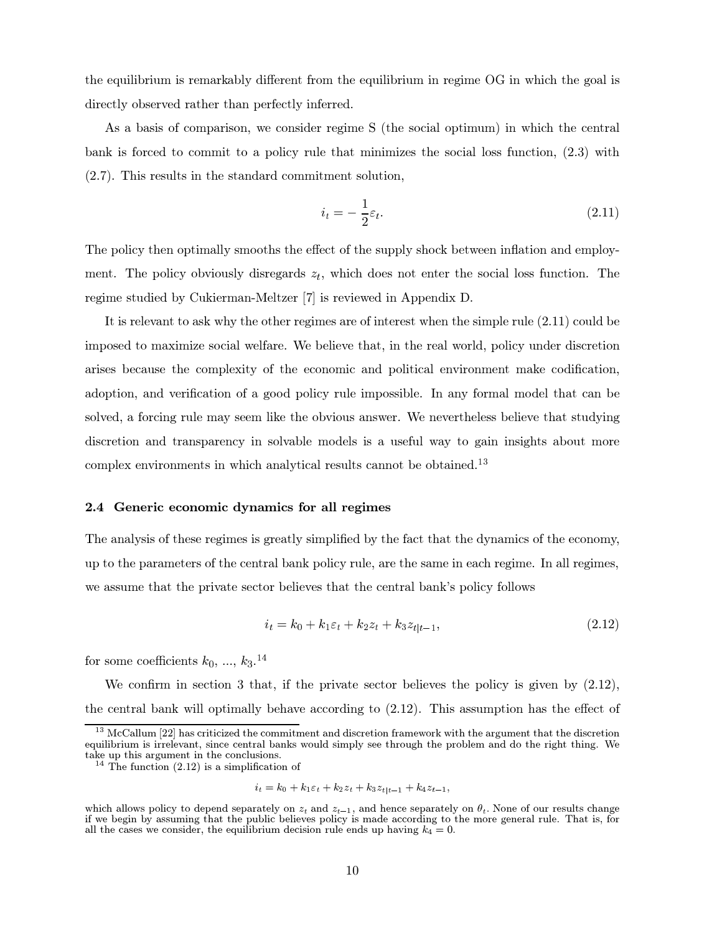the equilibrium is remarkably different from the equilibrium in regime OG in which the goal is directly observed rather than perfectly inferred.

As a basis of comparison, we consider regime S (the social optimum) in which the central bank is forced to commit to a policy rule that minimizes the social loss function,  $(2.3)$  with  $(2.7)$ . This results in the standard commitment solution,

$$
i_t = -\frac{1}{2}\varepsilon_t. \tag{2.11}
$$

The policy then optimally smooths the effect of the supply shock between inflation and employment. The policy obviously disregards  $z_t$ , which does not enter the social loss function. The regime studied by Cukierman-Meltzer [7] is reviewed in Appendix D.

It is relevant to ask why the other regimes are of interest when the simple rule  $(2.11)$  could be imposed to maximize social welfare. We believe that, in the real world, policy under discretion arises because the complexity of the economic and political environment make codification, adoption, and verification of a good policy rule impossible. In any formal model that can be solved, a forcing rule may seem like the obvious answer. We nevertheless believe that studying discretion and transparency in solvable models is a useful way to gain insights about more complex environments in which analytical results cannot be obtained.<sup>13</sup>

#### 2.4 Generic economic dynamics for all regimes

The analysis of these regimes is greatly simplified by the fact that the dynamics of the economy, up to the parameters of the central bank policy rule, are the same in each regime. In all regimes, we assume that the private sector believes that the central bank's policy follows

$$
i_t = k_0 + k_1 \varepsilon_t + k_2 z_t + k_3 z_{t|t-1}, \tag{2.12}
$$

for some coefficients  $k_0, ..., k_3$ <sup>14</sup>

We confirm in section 3 that, if the private sector believes the policy is given by  $(2.12)$ , the central bank will optimally behave according to  $(2.12)$ . This assumption has the effect of

$$
i_t = k_0 + k_1 \varepsilon_t + k_2 z_t + k_3 z_{t|t-1} + k_4 z_{t-1},
$$

 $^{13}$  McCallum [22] has criticized the commitment and discretion framework with the argument that the discretion equilibrium is irrelevant, since central banks would simply see through the problem and do the right thing. We take up this argument in the conclusions.

<sup>&</sup>lt;sup>14</sup> The function  $(2.12)$  is a simplification of

which allows policy to depend separately on  $z_t$  and  $z_{t-1}$ , and hence separately on  $\theta_t$ . None of our results change if we begin by assuming that the public believes policy is made according to the more general rule. That is, for all the cases we consider, the equilibrium decision rule ends up having  $k_4 = 0$ .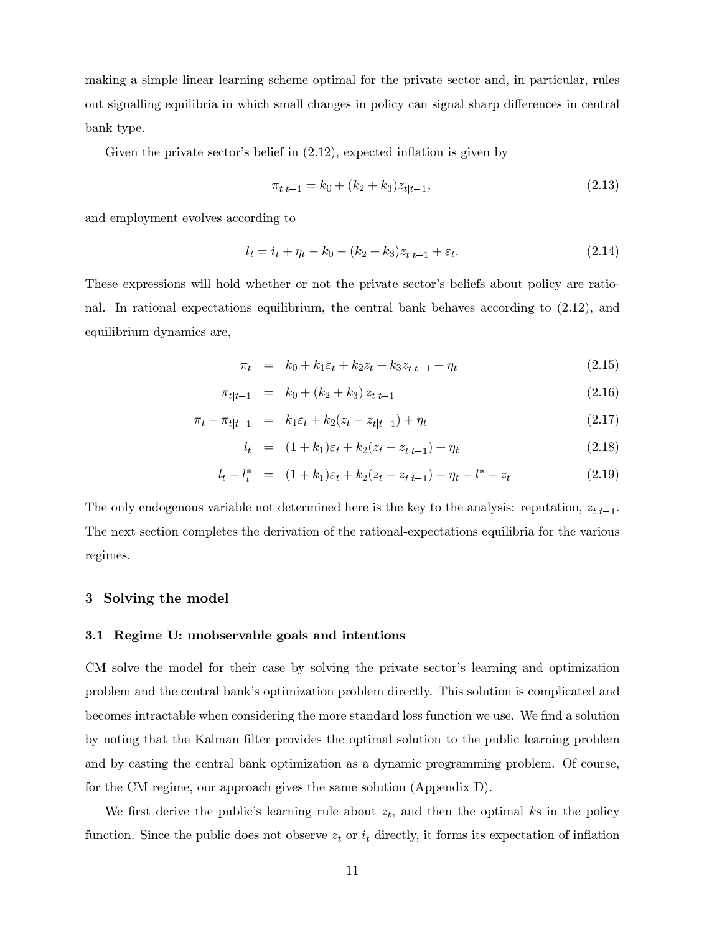making a simple linear learning scheme optimal for the private sector and, in particular, rules out signalling equilibria in which small changes in policy can signal sharp differences in central bank type.

Given the private sector's belief in  $(2.12)$ , expected inflation is given by

$$
\pi_{t|t-1} = k_0 + (k_2 + k_3)z_{t|t-1},\tag{2.13}
$$

and employment evolves according to

$$
l_t = i_t + \eta_t - k_0 - (k_2 + k_3)z_{t|t-1} + \varepsilon_t.
$$
\n(2.14)

These expressions will hold whether or not the private sector's beliefs about policy are rational. In rational expectations equilibrium, the central bank behaves according to  $(2.12)$ , and equilibrium dynamics are,

$$
\pi_t = k_0 + k_1 \varepsilon_t + k_2 z_t + k_3 z_{t|t-1} + \eta_t \tag{2.15}
$$

$$
\pi_{t|t-1} = k_0 + (k_2 + k_3) z_{t|t-1} \tag{2.16}
$$

$$
\pi_t - \pi_{t|t-1} = k_1 \varepsilon_t + k_2 (z_t - z_{t|t-1}) + \eta_t \tag{2.17}
$$

$$
l_t = (1 + k_1)\varepsilon_t + k_2(z_t - z_{t|t-1}) + \eta_t \tag{2.18}
$$

$$
l_t - l_t^* = (1 + k_1)\varepsilon_t + k_2(z_t - z_{t|t-1}) + \eta_t - l^* - z_t \tag{2.19}
$$

The only endogenous variable not determined here is the key to the analysis: reputation,  $z_{t|t-1}$ . The next section completes the derivation of the rational-expectations equilibria for the various regimes.

## 3 Solving the model

### 3.1 Regime U: unobservable goals and intentions

CM solve the model for their case by solving the private sector's learning and optimization problem and the central bank's optimization problem directly. This solution is complicated and becomes intractable when considering the more standard loss function we use. We find a solution by noting that the Kalman filter provides the optimal solution to the public learning problem and by casting the central bank optimization as a dynamic programming problem. Of course, for the CM regime, our approach gives the same solution (Appendix D).

We first derive the public's learning rule about  $z_t$ , and then the optimal ks in the policy function. Since the public does not observe  $z_t$  or  $i_t$  directly, it forms its expectation of inflation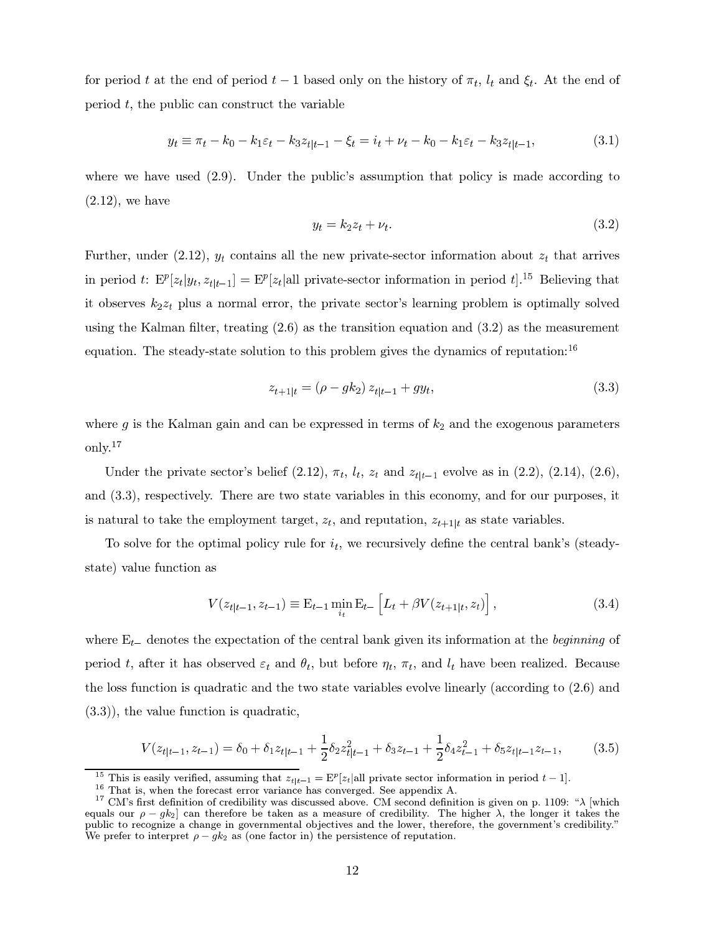for period t at the end of period  $t-1$  based only on the history of  $\pi_t$ ,  $l_t$  and  $\xi_t$ . At the end of period  $t$ , the public can construct the variable

$$
y_t \equiv \pi_t - k_0 - k_1 \varepsilon_t - k_3 z_{t|t-1} - \xi_t = i_t + \nu_t - k_0 - k_1 \varepsilon_t - k_3 z_{t|t-1},
$$
\n(3.1)

where we have used  $(2.9)$ . Under the public's assumption that policy is made according to  $(2.12)$ , we have

$$
y_t = k_2 z_t + \nu_t. \tag{3.2}
$$

Further, under (2.12),  $y_t$  contains all the new private-sector information about  $z_t$  that arrives in period t:  $E^p[z_t|y_t, z_{t|t-1}] = E^p[z_t|$ all private-sector information in period  $t]$ .<sup>15</sup> Believing that it observes  $k_2z_t$  plus a normal error, the private sector's learning problem is optimally solved using the Kalman filter, treating  $(2.6)$  as the transition equation and  $(3.2)$  as the measurement equation. The steady-state solution to this problem gives the dynamics of reputation:<sup>16</sup>

$$
z_{t+1|t} = (\rho - g k_2) z_{t|t-1} + gy_t, \tag{3.3}
$$

where g is the Kalman gain and can be expressed in terms of  $k_2$  and the exogenous parameters only. $17$ 

Under the private sector's belief (2.12),  $\pi_t$ ,  $l_t$ ,  $z_t$  and  $z_{t|t-1}$  evolve as in (2.2), (2.14), (2.6), and  $(3.3)$ , respectively. There are two state variables in this economy, and for our purposes, it is natural to take the employment target,  $z_t$ , and reputation,  $z_{t+1|t}$  as state variables.

To solve for the optimal policy rule for  $i_t$ , we recursively define the central bank's (steadystate) value function as

$$
V(z_{t|t-1}, z_{t-1}) \equiv \mathbf{E}_{t-1} \min_{i_t} \mathbf{E}_{t-} \left[ L_t + \beta V(z_{t+1|t}, z_t) \right],
$$
 (3.4)

where  $E_{t-}$  denotes the expectation of the central bank given its information at the *beginning* of period t, after it has observed  $\varepsilon_t$  and  $\theta_t$ , but before  $\eta_t$ ,  $\pi_t$ , and  $l_t$  have been realized. Because the loss function is quadratic and the two state variables evolve linearly (according to  $(2.6)$ ) and  $(3.3)$ , the value function is quadratic,

$$
V(z_{t|t-1}, z_{t-1}) = \delta_0 + \delta_1 z_{t|t-1} + \frac{1}{2} \delta_2 z_{t|t-1}^2 + \delta_3 z_{t-1} + \frac{1}{2} \delta_4 z_{t-1}^2 + \delta_5 z_{t|t-1} z_{t-1},
$$
 (3.5)

<sup>&</sup>lt;sup>15</sup> This is easily verified, assuming that  $z_{t|t-1} = \mathbb{E}^p[z_t|\text{all private sector information in period } t-1]$ .<br><sup>16</sup> That is, when the forecast error variance has converged. See appendix A.<br><sup>17</sup> CM's first definition of credibility was discussed above. equals our  $\rho - g k_2$  can therefore be taken as a measure of credibility. The higher  $\lambda$ , the longer it takes the pour it takes the pour it takes the pour it stakes the pour it stakes the pour it stakes the pour it is cre We prefer to interpret  $\rho - g k_2$  as (one factor in) the persistence of reputation.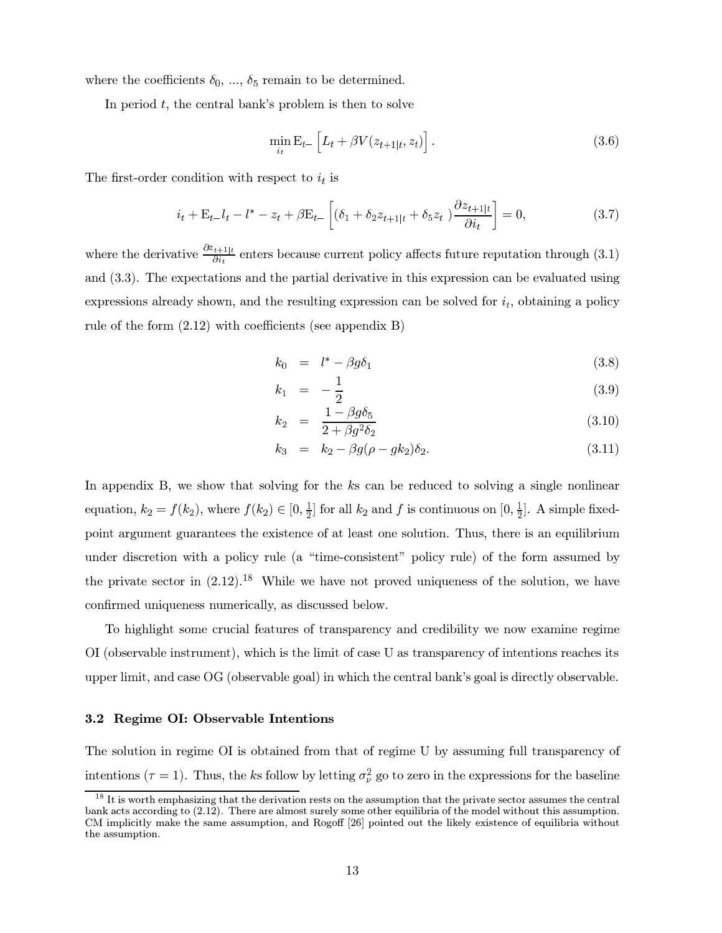where the coefficients  $\delta_0, \ldots, \delta_5$  remain to be determined.

In period  $t$ , the central bank's problem is then to solve

$$
\min_{i_t} \mathbf{E}_{t-} \left[ L_t + \beta V(z_{t+1|t}, z_t) \right]. \tag{3.6}
$$

The first-order condition with respect to  $i_t$  is

$$
i_t + \mathcal{E}_{t-}i_t - l^* - z_t + \beta \mathcal{E}_{t-} \left[ (\delta_1 + \delta_2 z_{t+1|t} + \delta_5 z_t) \frac{\partial z_{t+1|t}}{\partial i_t} \right] = 0, \tag{3.7}
$$

where the derivative  $\frac{\partial z_{t+1|t}}{\partial i_t}$  enters because current policy affects future reputation through (3.1) and (3.3). The expectations and the partial derivative in this expression can be evaluated using expressions already shown, and the resulting expression can be solved for  $i_t$ , obtaining a policy rule of the form  $(2.12)$  with coefficients (see appendix B)

$$
k_0 = l^* - \beta g \delta_1 \tag{3.8}
$$

$$
k_1 = -\frac{1}{2} \tag{3.9}
$$

$$
k_2 = \frac{1 - \beta g \delta_5}{2 + \beta g^2 \delta_2} \tag{3.10}
$$

$$
k_3 = k_2 - \beta g(\rho - g k_2) \delta_2. \tag{3.11}
$$

In appendix B, we show that solving for the  $k$ s can be reduced to solving a single nonlinear equation,  $k_2 = f(k_2)$ , where  $f(k_2) \in [0, \frac{1}{2}]$  for all  $k_2$  and f is continuous on  $[0, \frac{1}{2}]$ . A simple fixedpoint argument guarantees the existence of at least one solution. Thus, there is an equilibrium under discretion with a policy rule (a "time-consistent" policy rule) of the form assumed by the private sector in  $(2.12).^{18}$  While we have not proved uniqueness of the solution, we have confirmed uniqueness numerically, as discussed below.

To highlight some crucial features of transparency and credibility we now examine regime OI (observable instrument), which is the limit of case U as transparency of intentions reaches its upper limit, and case OG (observable goal) in which the central bank's goal is directly observable.

### 3.2 Regime OI: Observable Intentions

The solution in regime OI is obtained from that of regime U by assuming full transparency of intentions ( $\tau = 1$ ). Thus, the ks follow by letting  $\sigma_{\nu}^2$  go to zero in the expressions for the baseline

<sup>&</sup>lt;sup>18</sup> It is worth emphasizing that the derivation rests on the assumption that the private sector assumes the central bank acts according to  $(2.12)$ . There are almost surely some other equilibria of the model without this assumption. CM implicitly make the same assumption, and Rogoff [26] pointed out the likely existence of equilibria without the assumption.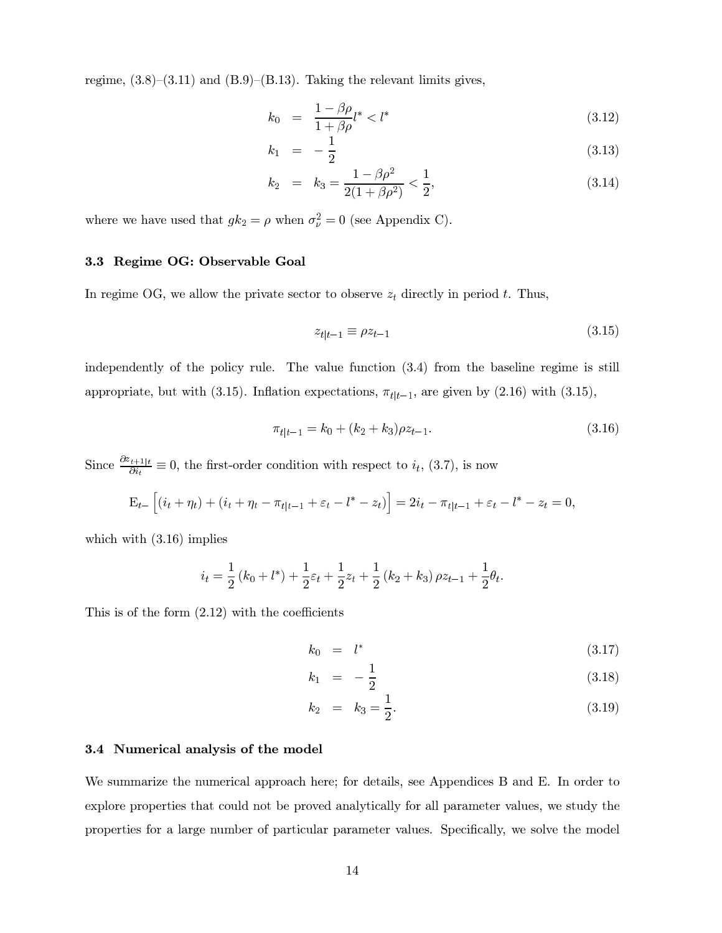regime,  $(3.8)$ – $(3.11)$  and  $(B.9)$ – $(B.13)$ . Taking the relevant limits gives,

$$
k_0 = \frac{1 - \beta \rho}{1 + \beta \rho} l^* < l^* \tag{3.12}
$$

$$
k_1 = -\frac{1}{2} \tag{3.13}
$$

$$
k_2 = k_3 = \frac{1 - \beta \rho^2}{2(1 + \beta \rho^2)} < \frac{1}{2},
$$
\n(3.14)

where we have used that  $gk_2 = \rho$  when  $\sigma_{\nu}^2 = 0$  (see Appendix C).

## 3.3 Regime OG: Observable Goal

In regime OG, we allow the private sector to observe  $z_t$  directly in period t. Thus,

$$
z_{t|t-1} \equiv \rho z_{t-1} \tag{3.15}
$$

independently of the policy rule. The value function  $(3.4)$  from the baseline regime is still appropriate, but with (3.15). Inflation expectations,  $\pi_{t|t-1}$ , are given by (2.16) with (3.15),

$$
\pi_{t|t-1} = k_0 + (k_2 + k_3)\rho z_{t-1}.
$$
\n(3.16)

Since  $\frac{\partial z_{t+1|t}}{\partial i_t} \equiv 0$ , the first-order condition with respect to  $i_t$ , (3.7), is now

$$
\mathbf{E}_{t-} \left[ (i_t + \eta_t) + (i_t + \eta_t - \pi_{t|t-1} + \varepsilon_t - l^* - z_t) \right] = 2i_t - \pi_{t|t-1} + \varepsilon_t - l^* - z_t = 0,
$$

which with  $(3.16)$  implies

$$
i_t = \frac{1}{2} (k_0 + l^*) + \frac{1}{2} \varepsilon_t + \frac{1}{2} z_t + \frac{1}{2} (k_2 + k_3) \rho z_{t-1} + \frac{1}{2} \theta_t.
$$

This is of the form  $(2.12)$  with the coefficients

$$
k_0 = l^* \tag{3.17}
$$

$$
k_1 = -\frac{1}{2} \tag{3.18}
$$

$$
k_2 = k_3 = \frac{1}{2}.\tag{3.19}
$$

#### 3.4 Numerical analysis of the model

We summarize the numerical approach here; for details, see Appendices B and E. In order to explore properties that could not be proved analytically for all parameter values, we study the properties for a large number of particular parameter values. Specifically, we solve the model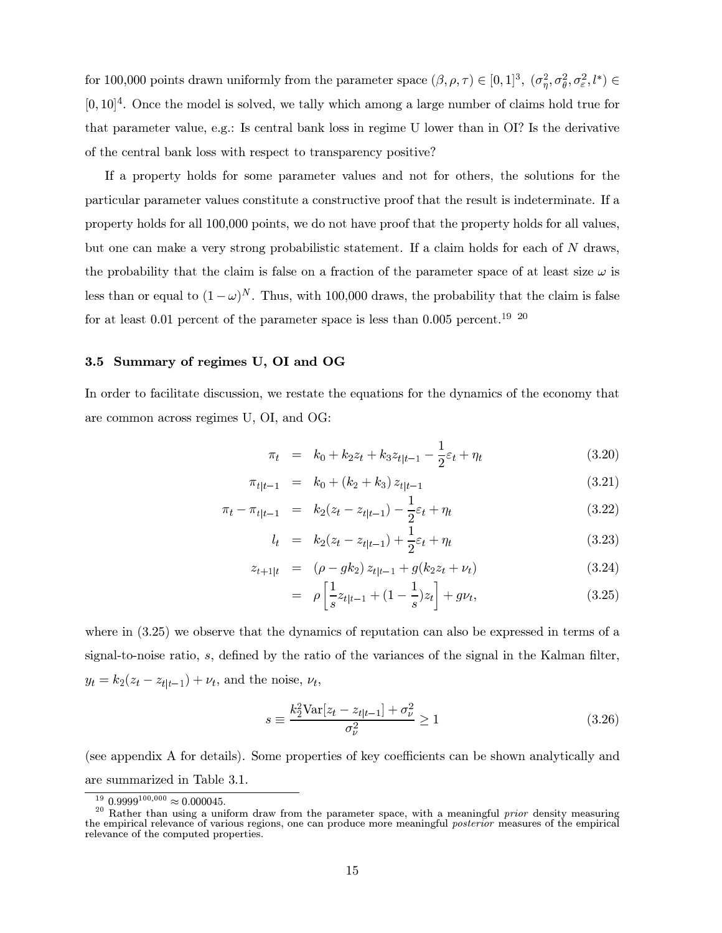for 100,000 points drawn uniformly from the parameter space  $(\beta, \rho, \tau) \in [0, 1]^3$ ,  $(\sigma_n^2, \sigma_\theta^2, \sigma_\varepsilon^2, l^*) \in$  $[0, 10]$ <sup>4</sup>. Once the model is solved, we tally which among a large number of claims hold true for that parameter value, e.g.: Is central bank loss in regime U lower than in OI? Is the derivative of the central bank loss with respect to transparency positive?

If a property holds for some parameter values and not for others, the solutions for the particular parameter values constitute a constructive proof that the result is indeterminate. If a property holds for all 100,000 points, we do not have proof that the property holds for all values, but one can make a very strong probabilistic statement. If a claim holds for each of N draws, the probability that the claim is false on a fraction of the parameter space of at least size  $\omega$  is less than or equal to  $(1 - \omega)^N$ . Thus, with 100,000 draws, the probability that the claim is false for at least 0.01 percent of the parameter space is less than 0.005 percent.<sup>19</sup> <sup>20</sup>

## 3.5 Summary of regimes U, OI and OG

In order to facilitate discussion, we restate the equations for the dynamics of the economy that are common across regimes U, OI, and OG:

$$
\pi_t = k_0 + k_2 z_t + k_3 z_{t|t-1} - \frac{1}{2} \varepsilon_t + \eta_t \tag{3.20}
$$

$$
\pi_{t|t-1} = k_0 + (k_2 + k_3) z_{t|t-1} \tag{3.21}
$$

$$
\pi_t - \pi_{t|t-1} = k_2(z_t - z_{t|t-1}) - \frac{1}{2}\varepsilon_t + \eta_t \tag{3.22}
$$

$$
l_t = k_2(z_t - z_{t|t-1}) + \frac{1}{2}\varepsilon_t + \eta_t \tag{3.23}
$$

$$
z_{t+1|t} = (\rho - g k_2) z_{t|t-1} + g(k_2 z_t + \nu_t)
$$
\n(3.24)

$$
= \rho \left[ \frac{1}{s} z_{t|t-1} + (1 - \frac{1}{s}) z_t \right] + g \nu_t, \tag{3.25}
$$

where in  $(3.25)$  we observe that the dynamics of reputation can also be expressed in terms of a signal-to-noise ratio,  $s$ , defined by the ratio of the variances of the signal in the Kalman filter,  $y_t = k_2(z_t - z_{t|t-1}) + \nu_t$ , and the noise,  $\nu_t$ ,

$$
s \equiv \frac{k_2^2 \text{Var}[z_t - z_{t|t-1}] + \sigma_\nu^2}{\sigma_\nu^2} \ge 1
$$
\n(3.26)

(see appendix A for details). Some properties of key coefficients can be shown analytically and are summarized in Table 3.1.

<sup>&</sup>lt;sup>19</sup> 0.9999<sup>100,000</sup>  $\approx$  0.000045.

 $^{20}$  Rather than using a uniform draw from the parameter space, with a meaningful *prior* density measuring the empirical relevance of various regions, one can produce more meaningful posterior measures of the empirical relevance of the computed properties.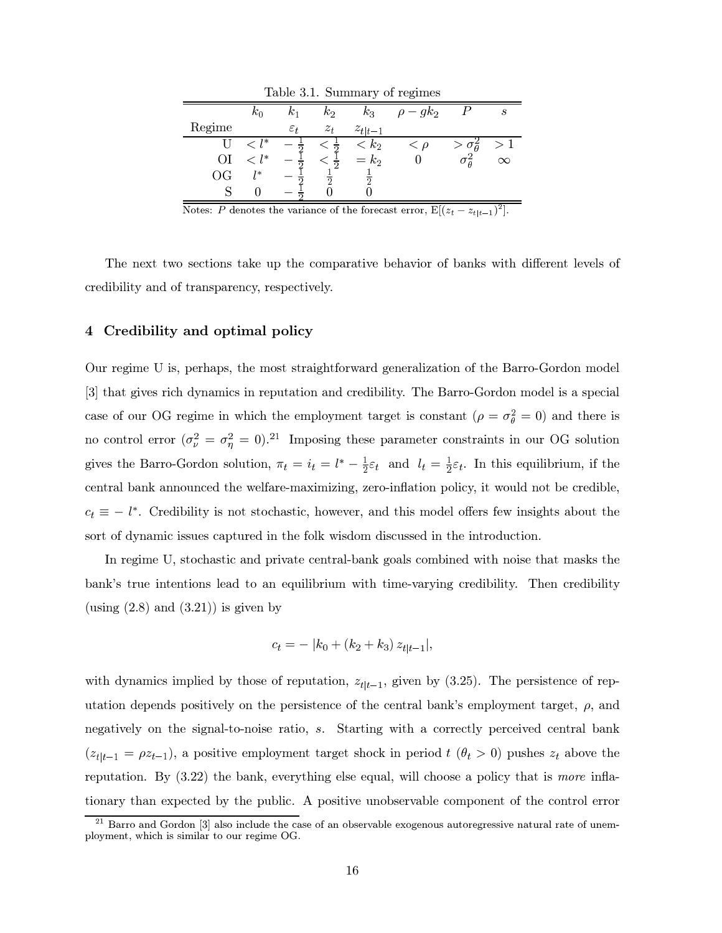| rable 3.1. Summary or regimes |              |                 |       |             |                |                       |                  |  |  |  |
|-------------------------------|--------------|-----------------|-------|-------------|----------------|-----------------------|------------------|--|--|--|
|                               | $k_0$        |                 | $k_2$ | $k_3$       | $\rho - g k_2$ |                       | $\boldsymbol{s}$ |  |  |  |
| Regime                        |              | $\varepsilon_t$ | $z_t$ | $z_{t t-1}$ |                |                       |                  |  |  |  |
|                               | $\langle$ 1* |                 |       | $< k_2$     | $\lt \rho$     | $> \sigma_{\theta}^2$ |                  |  |  |  |
| ОI                            | $l^*$        |                 |       | $= k_2$     |                |                       | $\infty$         |  |  |  |
| ΟG                            | $1*$         |                 |       | $\Omega$    |                |                       |                  |  |  |  |
|                               |              |                 |       |             |                |                       |                  |  |  |  |

 $\Gamma_{\alpha}$  b  $\alpha$  2.1 Comparison of nominate

Notes: P denotes the variance of the forecast error,  $E[(z_t - z_{t|t-1})^2]$ .

The next two sections take up the comparative behavior of banks with different levels of credibility and of transparency, respectively.

#### Credibility and optimal policy  $\overline{4}$

Our regime U is, perhaps, the most straightforward generalization of the Barro-Gordon model [3] that gives rich dynamics in reputation and credibility. The Barro-Gordon model is a special case of our OG regime in which the employment target is constant ( $\rho = \sigma_{\theta}^2 = 0$ ) and there is no control error  $(\sigma_{\nu}^2 = \sigma_{\eta}^2 = 0)^{21}$  Imposing these parameter constraints in our OG solution gives the Barro-Gordon solution,  $\pi_t = i_t = l^* - \frac{1}{2}\varepsilon_t$  and  $l_t = \frac{1}{2}\varepsilon_t$ . In this equilibrium, if the central bank announced the welfare-maximizing, zero-inflation policy, it would not be credible,  $c_t \equiv -l^*$ . Credibility is not stochastic, however, and this model offers few insights about the sort of dynamic issues captured in the folk wisdom discussed in the introduction.

In regime U, stochastic and private central-bank goals combined with noise that masks the bank's true intentions lead to an equilibrium with time-varying credibility. Then credibility (using  $(2.8)$  and  $(3.21)$ ) is given by

$$
c_t = - |k_0 + (k_2 + k_3) z_{t|t-1}|,
$$

with dynamics implied by those of reputation,  $z_{t|t-1}$ , given by (3.25). The persistence of reputation depends positively on the persistence of the central bank's employment target,  $\rho$ , and negatively on the signal-to-noise ratio, s. Starting with a correctly perceived central bank  $(z_{t|t-1} = \rho z_{t-1})$ , a positive employment target shock in period  $t(\theta_t > 0)$  pushes  $z_t$  above the reputation. By  $(3.22)$  the bank, everything else equal, will choose a policy that is *more* inflationary than expected by the public. A positive unobservable component of the control error

 $21$  Barro and Gordon [3] also include the case of an observable exogenous autoregressive natural rate of unemployment, which is similar to our regime OG.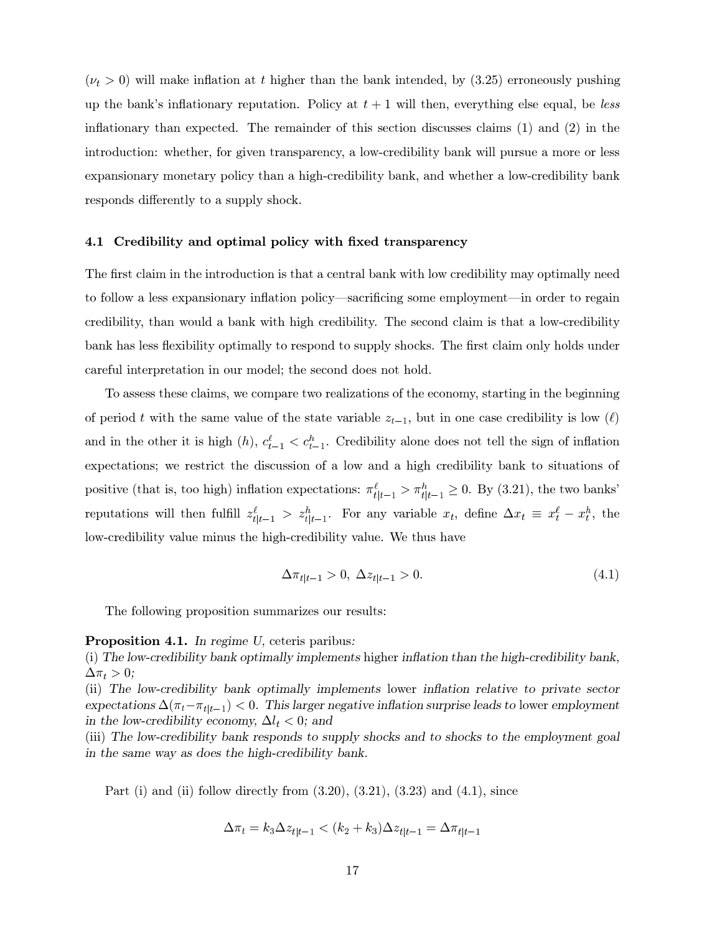$(\nu_t > 0)$  will make inflation at t higher than the bank intended, by (3.25) erroneously pushing up the bank's inflationary reputation. Policy at  $t + 1$  will then, everything else equal, be less inflationary than expected. The remainder of this section discusses claims  $(1)$  and  $(2)$  in the introduction: whether, for given transparency, a low-credibility bank will pursue a more or less expansionary monetary policy than a high-credibility bank, and whether a low-credibility bank responds differently to a supply shock.

#### 4.1 Credibility and optimal policy with fixed transparency

The first claim in the introduction is that a central bank with low credibility may optimally need to follow a less expansionary inflation policy—sacrificing some employment—in order to regain credibility, than would a bank with high credibility. The second claim is that a low-credibility bank has less flexibility optimally to respond to supply shocks. The first claim only holds under careful interpretation in our model; the second does not hold.

To assess these claims, we compare two realizations of the economy, starting in the beginning of period t with the same value of the state variable  $z_{t-1}$ , but in one case credibility is low ( $\ell$ ) and in the other it is high  $(h)$ ,  $c_{t-1}^{\ell} < c_{t-1}^h$ . Credibility alone does not tell the sign of inflation expectations; we restrict the discussion of a low and a high credibility bank to situations of positive (that is, too high) inflation expectations:  $\pi_{t|t-1}^{\ell} > \pi_{t|t-1}^{h} \geq 0$ . By (3.21), the two banks' reputations will then fulfill  $z_{t|t-1}^{\ell} > z_{t|t-1}^{h}$ . For any variable  $x_t$ , define  $\Delta x_t \equiv x_t^{\ell} - x_t^h$ , the low-credibility value minus the high-credibility value. We thus have

$$
\Delta \pi_{t|t-1} > 0, \ \Delta z_{t|t-1} > 0. \tag{4.1}
$$

The following proposition summarizes our results:

#### **Proposition 4.1.** In regime U, ceteris paribus:

(i) The low-credibility bank optimally implements higher inflation than the high-credibility bank,  $\Delta \pi_t > 0;$ 

(ii) The low-credibility bank optimally implements lower inflation relative to private sector expectations  $\Delta(\pi_t - \pi_{t|t-1}) < 0$ . This larger negative inflation surprise leads to lower employment in the low-credibility economy,  $\Delta l_t < 0$ ; and

(iii) The low-credibility bank responds to supply shocks and to shocks to the employment goal in the same way as does the high-credibility bank.

Part (i) and (ii) follow directly from  $(3.20)$ ,  $(3.21)$ ,  $(3.23)$  and  $(4.1)$ , since

$$
\Delta \pi_t = k_3 \Delta z_{t|t-1} < (k_2 + k_3) \Delta z_{t|t-1} = \Delta \pi_{t|t-1}
$$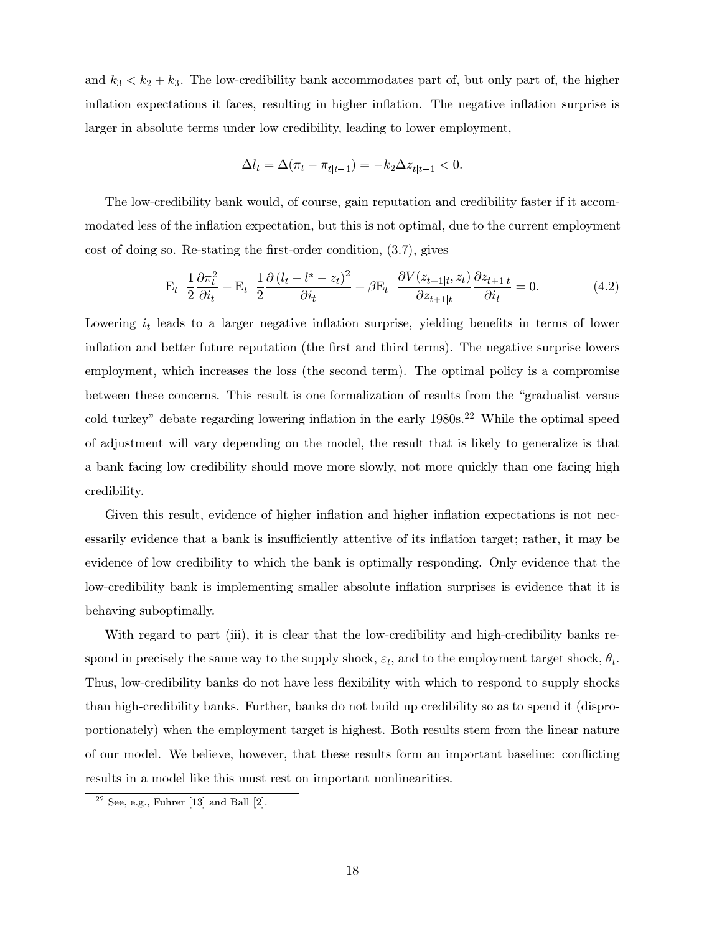and  $k_3 < k_2 + k_3$ . The low-credibility bank accommodates part of, but only part of, the higher inflation expectations it faces, resulting in higher inflation. The negative inflation surprise is larger in absolute terms under low credibility, leading to lower employment,

$$
\Delta l_t=\Delta(\pi_t-\pi_{t|t-1})=-k_2\Delta z_{t|t-1}<0.
$$

The low-credibility bank would, of course, gain reputation and credibility faster if it accommodated less of the inflation expectation, but this is not optimal, due to the current employment cost of doing so. Re-stating the first-order condition,  $(3.7)$ , gives

$$
\mathbf{E}_{t-}\frac{1}{2}\frac{\partial\pi_t^2}{\partial i_t} + \mathbf{E}_{t-}\frac{1}{2}\frac{\partial\left(l_t - l^* - z_t\right)^2}{\partial i_t} + \beta \mathbf{E}_{t-}\frac{\partial V(z_{t+1|t}, z_t)}{\partial z_{t+1|t}}\frac{\partial z_{t+1|t}}{\partial i_t} = 0.
$$
 (4.2)

Lowering  $i_t$  leads to a larger negative inflation surprise, yielding benefits in terms of lower inflation and better future reputation (the first and third terms). The negative surprise lowers employment, which increases the loss (the second term). The optimal policy is a compromise between these concerns. This result is one formalization of results from the "gradualist versus cold turkey" debate regarding lowering inflation in the early  $1980s.^{22}$  While the optimal speed of adjustment will vary depending on the model, the result that is likely to generalize is that a bank facing low credibility should move more slowly, not more quickly than one facing high credibility.

Given this result, evidence of higher inflation and higher inflation expectations is not necessarily evidence that a bank is insufficiently attentive of its inflation target; rather, it may be evidence of low credibility to which the bank is optimally responding. Only evidence that the low-credibility bank is implementing smaller absolute inflation surprises is evidence that it is behaving suboptimally.

With regard to part (iii), it is clear that the low-credibility and high-credibility banks respond in precisely the same way to the supply shock,  $\varepsilon_t$ , and to the employment target shock,  $\theta_t$ . Thus, low-credibility banks do not have less flexibility with which to respond to supply shocks than high-credibility banks. Further, banks do not build up credibility so as to spend it (disproportionately) when the employment target is highest. Both results stem from the linear nature of our model. We believe, however, that these results form an important baseline: conflicting results in a model like this must rest on important nonlinearities.

 $22$  See, e.g., Fuhrer [13] and Ball [2].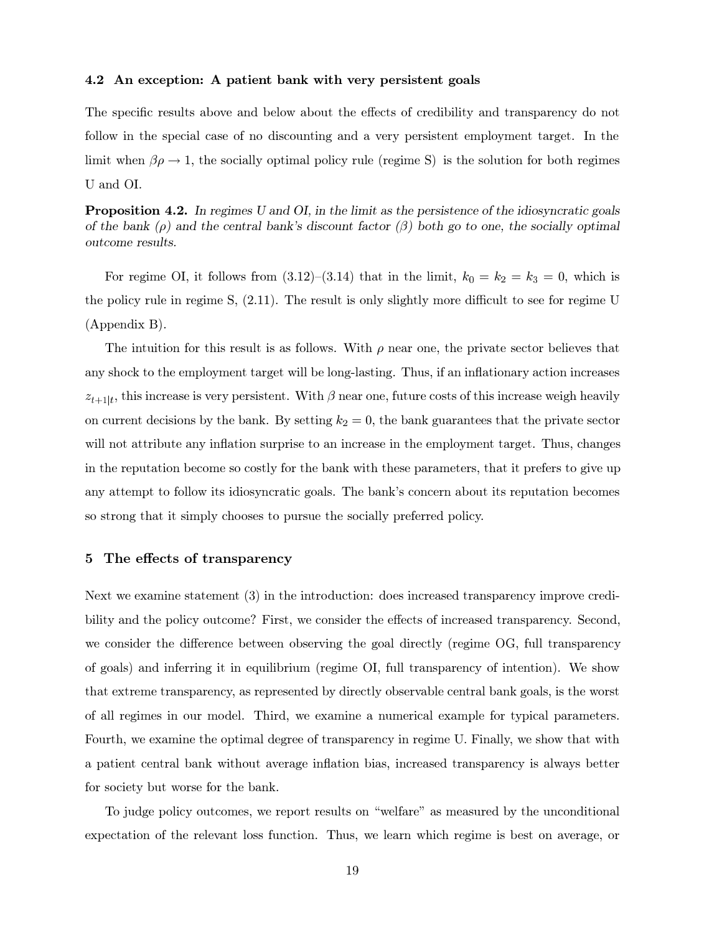#### 4.2 An exception: A patient bank with very persistent goals

The specific results above and below about the effects of credibility and transparency do not follow in the special case of no discounting and a very persistent employment target. In the limit when  $\beta \rho \rightarrow 1$ , the socially optimal policy rule (regime S) is the solution for both regimes U and OI.

**Proposition 4.2.** In regimes U and OI, in the limit as the persistence of the idiosyncratic goals of the bank  $(\rho)$  and the central bank's discount factor  $(\beta)$  both go to one, the socially optimal outcome results.

For regime OI, it follows from  $(3.12)$ – $(3.14)$  that in the limit,  $k_0 = k_2 = k_3 = 0$ , which is the policy rule in regime S,  $(2.11)$ . The result is only slightly more difficult to see for regime U  $(A$ ppendix  $B$ ).

The intuition for this result is as follows. With  $\rho$  near one, the private sector believes that any shock to the employment target will be long-lasting. Thus, if an inflationary action increases  $z_{t+1|t}$ , this increase is very persistent. With  $\beta$  near one, future costs of this increase weigh heavily on current decisions by the bank. By setting  $k_2 = 0$ , the bank guarantees that the private sector will not attribute any inflation surprise to an increase in the employment target. Thus, changes in the reputation become so costly for the bank with these parameters, that it prefers to give up any attempt to follow its idiosyncratic goals. The bank's concern about its reputation becomes so strong that it simply chooses to pursue the socially preferred policy.

## 5 The effects of transparency

Next we examine statement  $(3)$  in the introduction: does increased transparency improve credibility and the policy outcome? First, we consider the effects of increased transparency. Second, we consider the difference between observing the goal directly (regime  $\overline{OG}$ , full transparency of goals) and inferring it in equilibrium (regime OI, full transparency of intention). We show that extreme transparency, as represented by directly observable central bank goals, is the worst of all regimes in our model. Third, we examine a numerical example for typical parameters. Fourth, we examine the optimal degree of transparency in regime U. Finally, we show that with a patient central bank without average inflation bias, increased transparency is always better for society but worse for the bank.

To judge policy outcomes, we report results on "welfare" as measured by the unconditional expectation of the relevant loss function. Thus, we learn which regime is best on average, or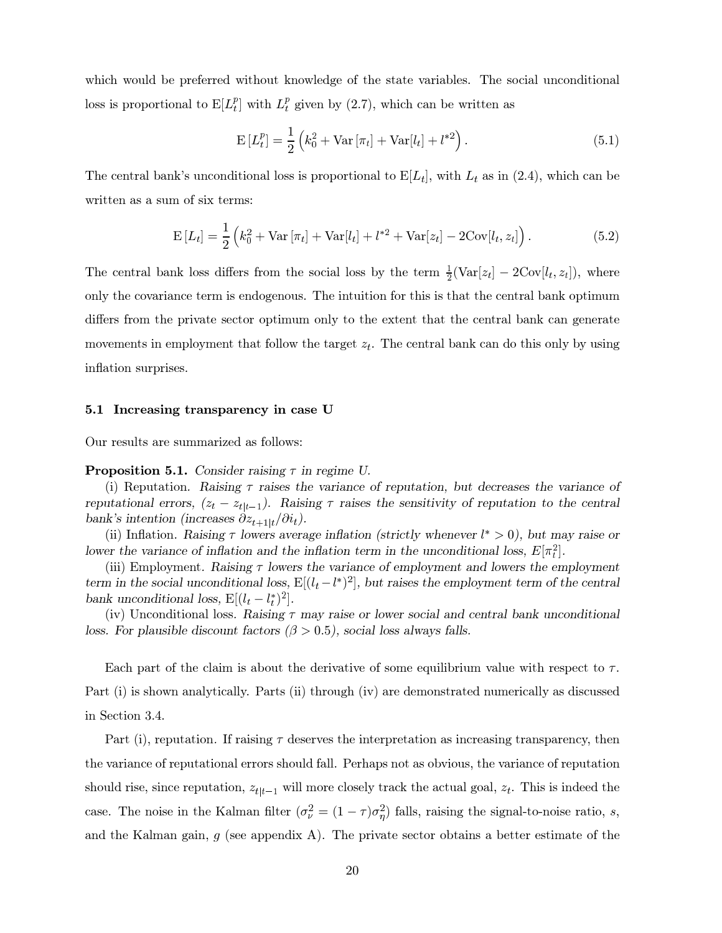which would be preferred without knowledge of the state variables. The social unconditional loss is proportional to  $E[L_t^p]$  with  $L_t^p$  given by (2.7), which can be written as

$$
E[L_t^p] = \frac{1}{2} \left( k_0^2 + \text{Var}[\pi_t] + \text{Var}[l_t] + l^{*2} \right).
$$
 (5.1)

The central bank's unconditional loss is proportional to  $E[L_t]$ , with  $L_t$  as in (2.4), which can be written as a sum of six terms:

$$
E[L_t] = \frac{1}{2} \left( k_0^2 + Var[\pi_t] + Var[l_t] + l^{*2} + Var[z_t] - 2Cov[l_t, z_t] \right).
$$
 (5.2)

The central bank loss differs from the social loss by the term  $\frac{1}{2}(\text{Var}[z_t] - 2\text{Cov}[l_t, z_t])$ , where only the covariance term is endogenous. The intuition for this is that the central bank optimum differs from the private sector optimum only to the extent that the central bank can generate movements in employment that follow the target  $z_t$ . The central bank can do this only by using inflation surprises.

#### 5.1 Increasing transparency in case U

Our results are summarized as follows:

**Proposition 5.1.** Consider raising  $\tau$  in regime U.

(i) Reputation. Raising  $\tau$  raises the variance of reputation, but decreases the variance of reputational errors,  $(z_t - z_{t|t-1})$ . Raising  $\tau$  raises the sensitivity of reputation to the central bank's intention (increases  $\partial z_{t+1|t}/\partial i_t$ ).

(ii) Inflation. Raising  $\tau$  lowers average inflation (strictly whenever  $l^* > 0$ ), but may raise or lower the variance of inflation and the inflation term in the unconditional loss,  $E[\pi_i^2]$ .

(iii) Employment. Raising  $\tau$  lowers the variance of employment and lowers the employment term in the social unconditional loss,  $E[(l_t - l^*)^2]$ , but raises the employment term of the central bank unconditional loss,  $E[(l_t - l_t^*)^2]$ .

(iv) Unconditional loss. Raising  $\tau$  may raise or lower social and central bank unconditional loss. For plausible discount factors ( $\beta > 0.5$ ), social loss always falls.

Each part of the claim is about the derivative of some equilibrium value with respect to  $\tau$ . Part (i) is shown analytically. Parts (ii) through (iv) are demonstrated numerically as discussed in Section 3.4.

Part (i), reputation. If raising  $\tau$  deserves the interpretation as increasing transparency, then the variance of reputational errors should fall. Perhaps not as obvious, the variance of reputation should rise, since reputation,  $z_{t|t-1}$  will more closely track the actual goal,  $z_t$ . This is indeed the case. The noise in the Kalman filter  $(\sigma_{\nu}^2 = (1 - \tau)\sigma_{\eta}^2)$  falls, raising the signal-to-noise ratio, s, and the Kalman gain,  $g$  (see appendix A). The private sector obtains a better estimate of the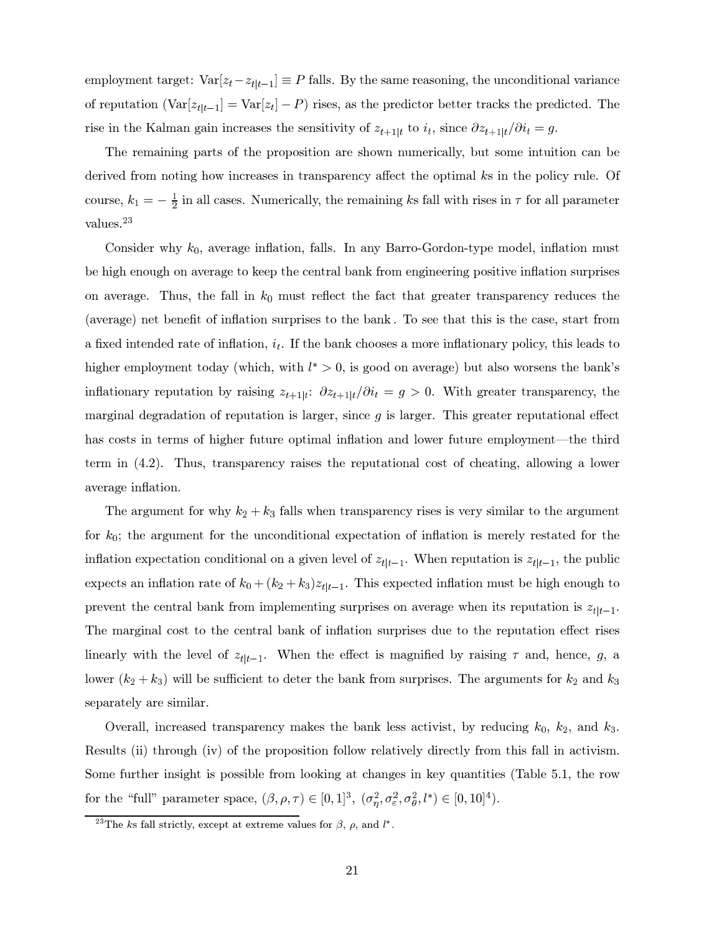employment target:  $Var[z_t - z_{t|t-1}] \equiv P$  falls. By the same reasoning, the unconditional variance of reputation  $(\text{Var}[z_{t|t-1}] = \text{Var}[z_t] - P)$  rises, as the predictor better tracks the predicted. The rise in the Kalman gain increases the sensitivity of  $z_{t+1|t}$  to  $i_t$ , since  $\partial z_{t+1|t}/\partial i_t = g$ .

The remaining parts of the proposition are shown numerically, but some intuition can be derived from noting how increases in transparency affect the optimal  $k$ s in the policy rule. Of course,  $k_1 = -\frac{1}{2}$  in all cases. Numerically, the remaining ks fall with rises in  $\tau$  for all parameter values. $^{23}$ 

Consider why  $k_0$ , average inflation, falls. In any Barro-Gordon-type model, inflation must be high enough on average to keep the central bank from engineering positive inflation surprises on average. Thus, the fall in  $k_0$  must reflect the fact that greater transparency reduces the (average) net benefit of inflation surprises to the bank. To see that this is the case, start from a fixed intended rate of inflation,  $i_t$ . If the bank chooses a more inflationary policy, this leads to higher employment today (which, with  $l^* > 0$ , is good on average) but also worsens the bank's inflationary reputation by raising  $z_{t+1|t}$ :  $\partial z_{t+1|t}/\partial i_t = g > 0$ . With greater transparency, the marginal degradation of reputation is larger, since q is larger. This greater reputational effect has costs in terms of higher future optimal inflation and lower future employment—the third term in  $(4.2)$ . Thus, transparency raises the reputational cost of cheating, allowing a lower average inflation.

The argument for why  $k_2 + k_3$  falls when transparency rises is very similar to the argument for  $k_0$ ; the argument for the unconditional expectation of inflation is merely restated for the inflation expectation conditional on a given level of  $z_{t|t-1}$ . When reputation is  $z_{t|t-1}$ , the public expects an inflation rate of  $k_0 + (k_2 + k_3)z_{t|t-1}$ . This expected inflation must be high enough to prevent the central bank from implementing surprises on average when its reputation is  $z_{t|t-1}$ . The marginal cost to the central bank of inflation surprises due to the reputation effect rises linearly with the level of  $z_{t|t-1}$ . When the effect is magnified by raising  $\tau$  and, hence, g, a lower  $(k_2 + k_3)$  will be sufficient to deter the bank from surprises. The arguments for  $k_2$  and  $k_3$ separately are similar.

Overall, increased transparency makes the bank less activist, by reducing  $k_0$ ,  $k_2$ , and  $k_3$ . Results (ii) through (iv) of the proposition follow relatively directly from this fall in activism. Some further insight is possible from looking at changes in key quantities (Table  $5.1$ , the row for the "full" parameter space,  $(\beta, \rho, \tau) \in [0, 1]^3$ ,  $(\sigma_{\eta}^2, \sigma_{\varepsilon}^2, \sigma_{\theta}^2, l^*) \in [0, 10]^4$ ).

<sup>&</sup>lt;sup>23</sup>The ks fall strictly, except at extreme values for  $\beta$ ,  $\rho$ , and  $l^*$ .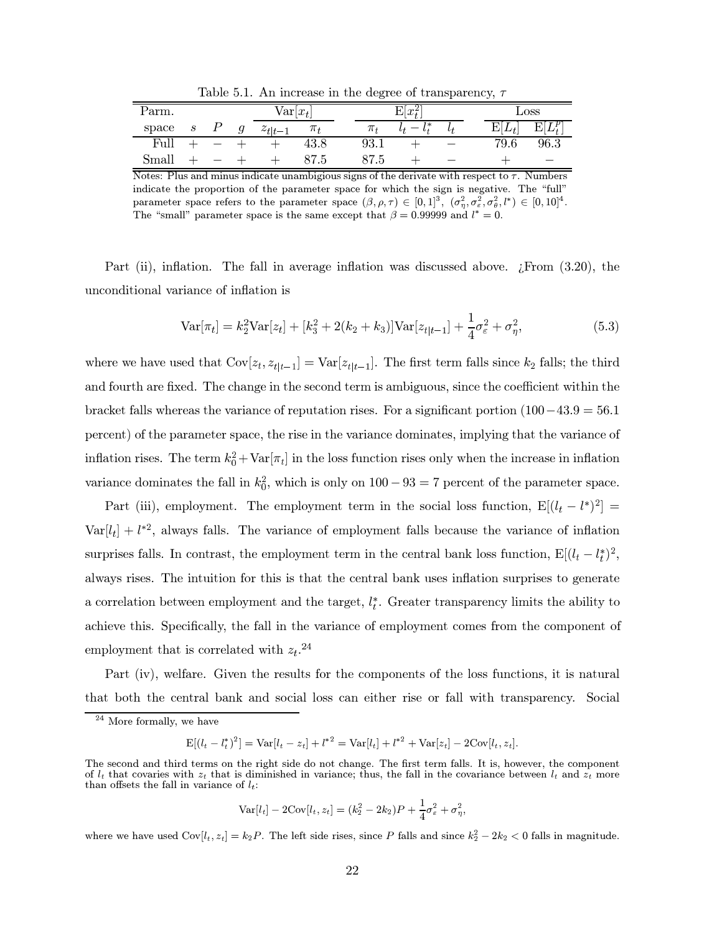Table 5.1. An increase in the degree of transparency,  $\tau$ 

| Parm. | $\text{Var}[x_t]$ |  |  | $E[x_t^2]$  |         |         |  | Loss |  |      |            |
|-------|-------------------|--|--|-------------|---------|---------|--|------|--|------|------------|
| space | $\boldsymbol{s}$  |  |  | $z_{t t-1}$ | $\pi_t$ | $\pi_t$ |  |      |  |      | $E[L_t^p]$ |
| Full  |                   |  |  |             | 43.8    | 93.1    |  |      |  | 79.6 | 96.3       |
| Small |                   |  |  |             | 87.5    | 87.5    |  |      |  |      |            |

Notes: Plus and minus indicate unambigious signs of the derivate with respect to  $\tau$ . Numbers indicate the proportion of the parameter space for which the sign is negative. The "full" parameter space refers to the parameter space  $(\beta, \rho, \tau) \in [0,1]^3$ ,  $(\sigma_n^2, \sigma_\varepsilon^2, \sigma_\theta^2, l^*) \in [0,10]^4$ . The "small" parameter space is the same except that  $\beta = 0.99999$  and  $l^* = 0$ .

Part (ii), inflation. The fall in average inflation was discussed above.  $\chi$ From  $(3.20)$ , the unconditional variance of inflation is

$$
\text{Var}[\pi_t] = k_2^2 \text{Var}[z_t] + [k_3^2 + 2(k_2 + k_3)] \text{Var}[z_{t|t-1}] + \frac{1}{4} \sigma_\varepsilon^2 + \sigma_\eta^2,
$$
\n(5.3)

where we have used that  $Cov[z_t, z_{t|t-1}] = Var[z_{t|t-1}]$ . The first term falls since  $k_2$  falls; the third and fourth are fixed. The change in the second term is ambiguous, since the coefficient within the bracket falls whereas the variance of reputation rises. For a significant portion  $(100-43.9=56.1)$ percent) of the parameter space, the rise in the variance dominates, implying that the variance of inflation rises. The term  $k_0^2 + \text{Var}[\pi_t]$  in the loss function rises only when the increase in inflation variance dominates the fall in  $k_0^2$ , which is only on  $100 - 93 = 7$  percent of the parameter space.

Part (iii), employment. The employment term in the social loss function,  $E[(l_t - l^*)^2] =$  $Var[l_t] + l^{*2}$ , always falls. The variance of employment falls because the variance of inflation surprises falls. In contrast, the employment term in the central bank loss function,  $E[(l_t - l_t^*)^2]$ , always rises. The intuition for this is that the central bank uses inflation surprises to generate a correlation between employment and the target,  $l_t^*$ . Greater transparency limits the ability to achieve this. Specifically, the fall in the variance of employment comes from the component of employment that is correlated with  $z_t$ .<sup>24</sup>

Part (iv), welfare. Given the results for the components of the loss functions, it is natural that both the central bank and social loss can either rise or fall with transparency. Social

 $E[(l_t - l_t^*)^2] = \text{Var}[l_t - z_t] + l^{*2} = \text{Var}[l_t] + l^{*2} + \text{Var}[z_t] - 2\text{Cov}[l_t, z_t].$ 

$$
Var[l_t] - 2Cov[l_t, z_t] = (k_2^2 - 2k_2)P + \frac{1}{4}\sigma_{\varepsilon}^2 + \sigma_{\eta}^2,
$$

where we have used  $Cov[l_t, z_t] = k_2 P$ . The left side rises, since P falls and since  $k_2^2 - 2k_2 < 0$  falls in magnitude.

More formally, we have

The second and third terms on the right side do not change. The first term falls. It is, however, the component of  $l_t$  that covaries with  $z_t$  that is diminished in variance; thus, the fall in the covariance between  $l_t$  and  $z_t$  more than offsets the fall in variance of  $l_t$ :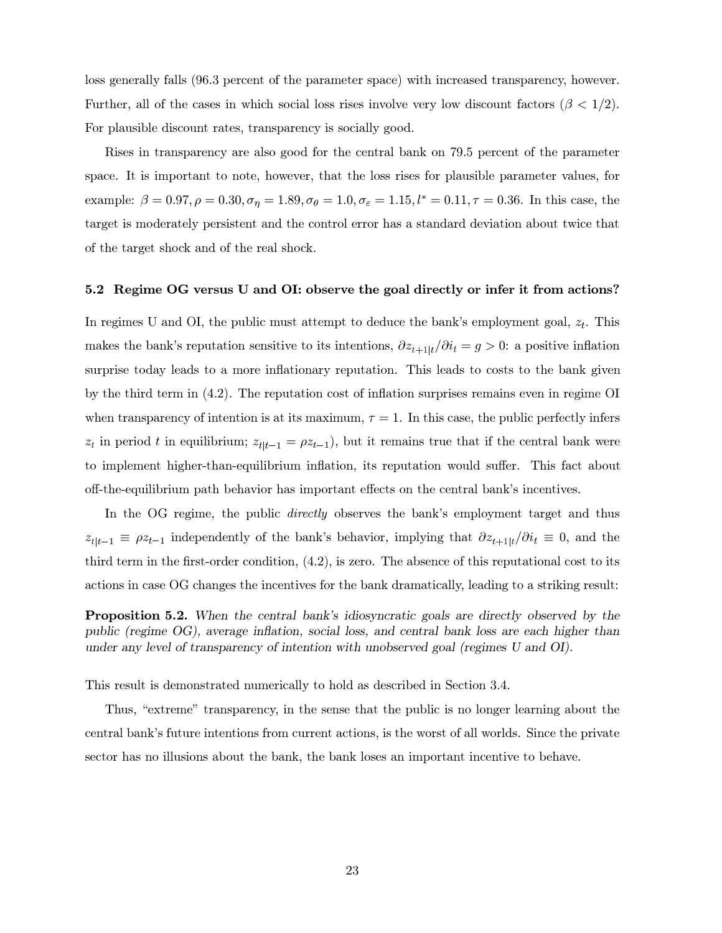loss generally falls (96.3 percent of the parameter space) with increased transparency, however. Further, all of the cases in which social loss rises involve very low discount factors  $(\beta < 1/2)$ . For plausible discount rates, transparency is socially good.

Rises in transparency are also good for the central bank on 79.5 percent of the parameter space. It is important to note, however, that the loss rises for plausible parameter values, for example:  $\beta = 0.97, \rho = 0.30, \sigma_{\eta} = 1.89, \sigma_{\theta} = 1.0, \sigma_{\epsilon} = 1.15, l^* = 0.11, \tau = 0.36$ . In this case, the target is moderately persistent and the control error has a standard deviation about twice that of the target shock and of the real shock.

### 5.2 Regime OG versus U and OI: observe the goal directly or infer it from actions?

In regimes U and OI, the public must attempt to deduce the bank's employment goal,  $z_t$ . This makes the bank's reputation sensitive to its intentions,  $\partial z_{t+1|t}/\partial i_t = g > 0$ : a positive inflation surprise today leads to a more inflationary reputation. This leads to costs to the bank given by the third term in  $(4.2)$ . The reputation cost of inflation surprises remains even in regime OI when transparency of intention is at its maximum,  $\tau = 1$ . In this case, the public perfectly infers  $z_t$  in period t in equilibrium;  $z_{t|t-1} = \rho z_{t-1}$ , but it remains true that if the central bank were to implement higher-than-equilibrium inflation, its reputation would suffer. This fact about off-the-equilibrium path behavior has important effects on the central bank's incentives.

In the OG regime, the public *directly* observes the bank's employment target and thus  $z_{t|t-1} \equiv \rho z_{t-1}$  independently of the bank's behavior, implying that  $\partial z_{t+1|t}/\partial i_t \equiv 0$ , and the third term in the first-order condition,  $(4.2)$ , is zero. The absence of this reputational cost to its actions in case OG changes the incentives for the bank dramatically, leading to a striking result:

**Proposition 5.2.** When the central bank's idiosyncratic goals are directly observed by the public (regime OG), average inflation, social loss, and central bank loss are each higher than under any level of transparency of intention with unobserved goal (regimes U and OI).

This result is demonstrated numerically to hold as described in Section 3.4.

Thus, "extreme" transparency, in the sense that the public is no longer learning about the central bank's future intentions from current actions, is the worst of all worlds. Since the private sector has no illusions about the bank, the bank loses an important incentive to behave.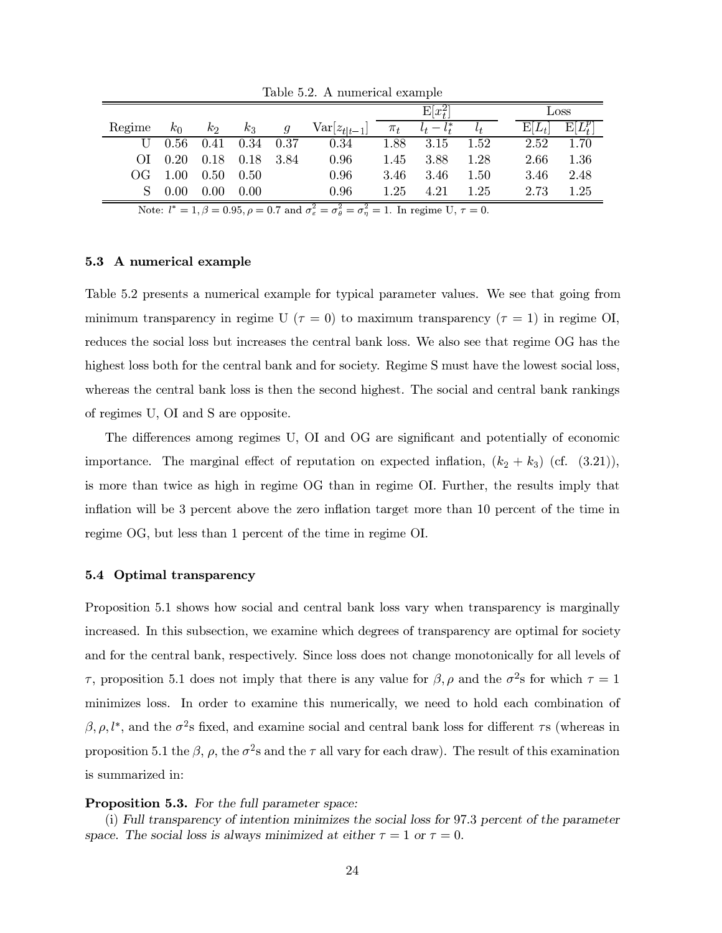|                                                                                                                                              |       |          |             |      |                         | $E x_t^2 $ |               |      |          | Loss                |  |  |
|----------------------------------------------------------------------------------------------------------------------------------------------|-------|----------|-------------|------|-------------------------|------------|---------------|------|----------|---------------------|--|--|
| Regime                                                                                                                                       | $k_0$ | $k_2$    | $k_3$       | q    | $\text{Var}[z_{t t-1}]$ | $\pi_t$    | $l_t - l_t^*$ |      | $E[L_t]$ | $\mathrm{E}[L^p_t]$ |  |  |
| U                                                                                                                                            | 0.56  | 0.41     | $0.34$ 0.37 |      | 0.34                    | 1.88       | 3.15          | 1.52 | 2.52     | 1.70                |  |  |
| (1)                                                                                                                                          | 0.20  | 0.18     | 0.18        | 3.84 | 0.96                    | 1.45       | 3.88          | 1.28 | 2.66     | 1.36                |  |  |
| OG                                                                                                                                           | 1.00  | $0.50\,$ | 0.50        |      | 0.96                    | 3.46       | 3.46          | 1.50 | 3.46     | 2.48                |  |  |
| S                                                                                                                                            | 0.00  | $0.00\,$ | 0.00        |      | 0.96                    | 1.25       | 4.21          | 1.25 | 2.73     | 1.25                |  |  |
| Note: $l^* = 1, \beta = 0.95, \rho = 0.7$ and $\sigma_{\varepsilon}^2 = \sigma_{\theta}^2 = \sigma_{\eta}^2 = 1$ . In regime U, $\tau = 0$ . |       |          |             |      |                         |            |               |      |          |                     |  |  |

Table 5.2. A numerical example

## 5.3 A numerical example

Table 5.2 presents a numerical example for typical parameter values. We see that going from minimum transparency in regime U ( $\tau = 0$ ) to maximum transparency ( $\tau = 1$ ) in regime OI, reduces the social loss but increases the central bank loss. We also see that regime OG has the highest loss both for the central bank and for society. Regime S must have the lowest social loss, whereas the central bank loss is then the second highest. The social and central bank rankings of regimes U, OI and S are opposite.

The differences among regimes U, OI and OG are significant and potentially of economic importance. The marginal effect of reputation on expected inflation,  $(k_2 + k_3)$  (cf. (3.21)), is more than twice as high in regime OG than in regime OI. Further, the results imply that inflation will be 3 percent above the zero inflation target more than 10 percent of the time in regime OG, but less than 1 percent of the time in regime OI.

## 5.4 Optimal transparency

Proposition 5.1 shows how social and central bank loss vary when transparency is marginally increased. In this subsection, we examine which degrees of transparency are optimal for society and for the central bank, respectively. Since loss does not change monotonically for all levels of  $\tau$ , proposition 5.1 does not imply that there is any value for  $\beta$ ,  $\rho$  and the  $\sigma^2$ s for which  $\tau = 1$ minimizes loss. In order to examine this numerically, we need to hold each combination of  $\beta$ ,  $\rho$ ,  $l^*$ , and the  $\sigma^2$ s fixed, and examine social and central bank loss for different  $\tau$ s (whereas in proposition 5.1 the  $\beta$ ,  $\rho$ , the  $\sigma^2$ s and the  $\tau$  all vary for each draw). The result of this examination is summarized in:

## **Proposition 5.3.** For the full parameter space:

(i) Full transparency of intention minimizes the social loss for 97.3 percent of the parameter space. The social loss is always minimized at either  $\tau = 1$  or  $\tau = 0$ .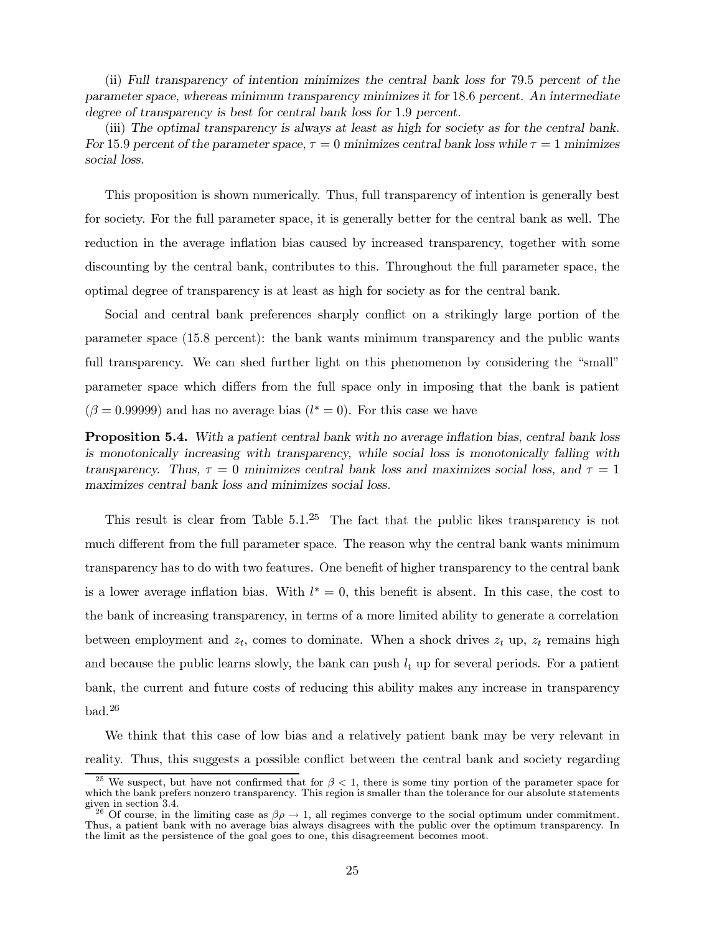(ii) Full transparency of intention minimizes the central bank loss for 79.5 percent of the parameter space, whereas minimum transparency minimizes it for 18.6 percent. An intermediate degree of transparency is best for central bank loss for 1.9 percent.

(iii) The optimal transparency is always at least as high for society as for the central bank. For 15.9 percent of the parameter space,  $\tau = 0$  minimizes central bank loss while  $\tau = 1$  minimizes social loss.

This proposition is shown numerically. Thus, full transparency of intention is generally best for society. For the full parameter space, it is generally better for the central bank as well. The reduction in the average inflation bias caused by increased transparency, together with some discounting by the central bank, contributes to this. Throughout the full parameter space, the optimal degree of transparency is at least as high for society as for the central bank.

Social and central bank preferences sharply conflict on a strikingly large portion of the parameter space  $(15.8$  percent): the bank wants minimum transparency and the public wants full transparency. We can shed further light on this phenomenon by considering the "small" parameter space which differs from the full space only in imposing that the bank is patient  $(\beta = 0.99999)$  and has no average bias  $(l^* = 0)$ . For this case we have

**Proposition 5.4.** With a patient central bank with no average inflation bias, central bank loss is monotonically increasing with transparency, while social loss is monotonically falling with transparency. Thus,  $\tau = 0$  minimizes central bank loss and maximizes social loss, and  $\tau = 1$ maximizes central bank loss and minimizes social loss.

This result is clear from Table  $5.1<sup>25</sup>$  The fact that the public likes transparency is not much different from the full parameter space. The reason why the central bank wants minimum transparency has to do with two features. One benefit of higher transparency to the central bank is a lower average inflation bias. With  $l^* = 0$ , this benefit is absent. In this case, the cost to the bank of increasing transparency, in terms of a more limited ability to generate a correlation between employment and  $z_t$ , comes to dominate. When a shock drives  $z_t$  up,  $z_t$  remains high and because the public learns slowly, the bank can push  $l_t$  up for several periods. For a patient bank, the current and future costs of reducing this ability makes any increase in transparency  $bad.<sup>26</sup>$ 

We think that this case of low bias and a relatively patient bank may be very relevant in reality. Thus, this suggests a possible conflict between the central bank and society regarding

<sup>&</sup>lt;sup>25</sup> We suspect, but have not confirmed that for  $\beta < 1$ , there is some tiny portion of the parameter space for which the bank prefers nonzero transparency. This region is smaller than the tolerance for our absolute statements  $\frac{1}{2}$  iven in section 3.4.

<sup>&</sup>lt;sup>26</sup> Of course, in the limiting case as  $\beta \rho \rightarrow 1$ , all regimes converge to the social optimum under commitment. Thus, a patient bank with no average bias always disagrees with the public over the optimum transparency. In the limit as the persistence of the goal goes to one, this disagreement becomes moot.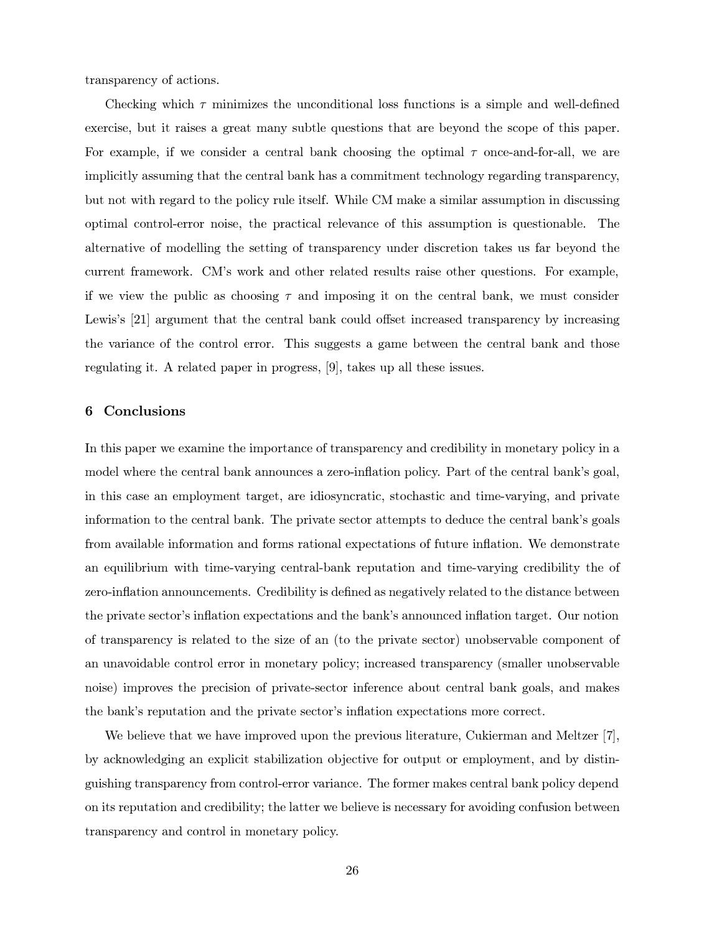transparency of actions.

Checking which  $\tau$  minimizes the unconditional loss functions is a simple and well-defined exercise, but it raises a great many subtle questions that are beyond the scope of this paper. For example, if we consider a central bank choosing the optimal  $\tau$  once-and-for-all, we are implicitly assuming that the central bank has a commitment technology regarding transparency, but not with regard to the policy rule itself. While CM make a similar assumption in discussing optimal control-error noise, the practical relevance of this assumption is questionable. The alternative of modelling the setting of transparency under discretion takes us far beyond the current framework. CM's work and other related results raise other questions. For example, if we view the public as choosing  $\tau$  and imposing it on the central bank, we must consider Lewis's [21] argument that the central bank could offset increased transparency by increasing the variance of the control error. This suggests a game between the central bank and those regulating it. A related paper in progress, [9], takes up all these issues.

#### Conclusions 6

In this paper we examine the importance of transparency and credibility in monetary policy in a model where the central bank announces a zero-inflation policy. Part of the central bank's goal, in this case an employment target, are idiosyncratic, stochastic and time-varying, and private information to the central bank. The private sector attempts to deduce the central bank's goals from available information and forms rational expectations of future inflation. We demonstrate an equilibrium with time-varying central-bank reputation and time-varying credibility the of zero-inflation announcements. Credibility is defined as negatively related to the distance between the private sector's inflation expectations and the bank's announced inflation target. Our notion of transparency is related to the size of an (to the private sector) unobservable component of an unavoidable control error in monetary policy; increased transparency (smaller unobservable noise) improves the precision of private-sector inference about central bank goals, and makes the bank's reputation and the private sector's inflation expectations more correct.

We believe that we have improved upon the previous literature, Cukierman and Meltzer  $[7]$ , by acknowledging an explicit stabilization objective for output or employment, and by distinguishing transparency from control-error variance. The former makes central bank policy depend on its reputation and credibility; the latter we believe is necessary for avoiding confusion between transparency and control in monetary policy.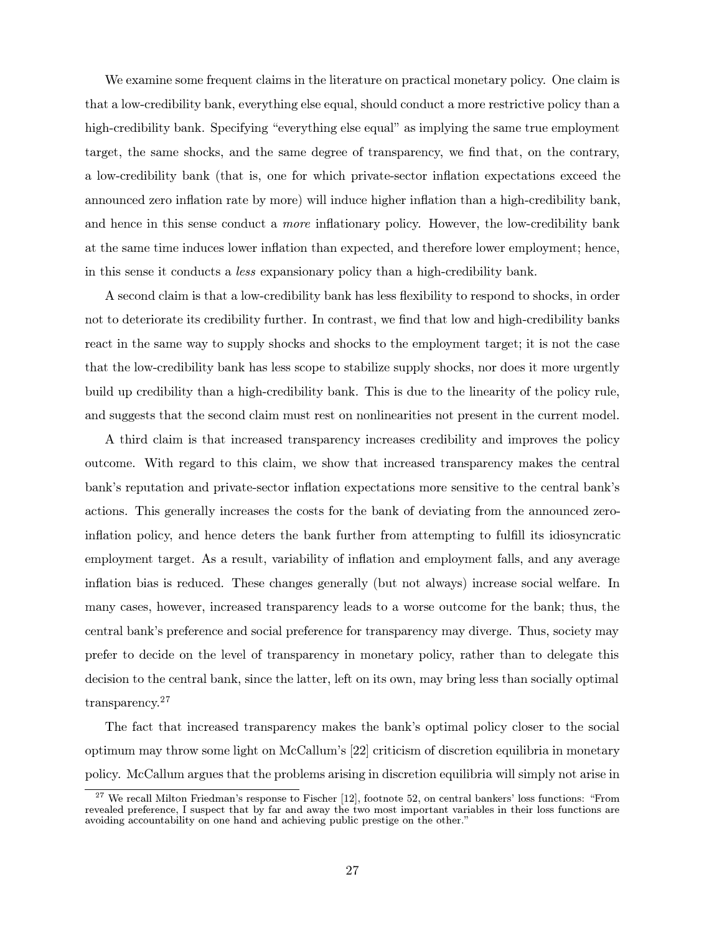We examine some frequent claims in the literature on practical monetary policy. One claim is that a low-credibility bank, everything else equal, should conduct a more restrictive policy than a high-credibility bank. Specifying "everything else equal" as implying the same true employment target, the same shocks, and the same degree of transparency, we find that, on the contrary, a low-credibility bank (that is, one for which private-sector inflation expectations exceed the announced zero inflation rate by more) will induce higher inflation than a high-credibility bank, and hence in this sense conduct a *more* inflationary policy. However, the low-credibility bank at the same time induces lower inflation than expected, and therefore lower employment; hence, in this sense it conducts a less expansionary policy than a high-credibility bank.

A second claim is that a low-credibility bank has less flexibility to respond to shocks, in order not to deteriorate its credibility further. In contrast, we find that low and high-credibility banks react in the same way to supply shocks and shocks to the employment target; it is not the case that the low-credibility bank has less scope to stabilize supply shocks, nor does it more urgently build up credibility than a high-credibility bank. This is due to the linearity of the policy rule, and suggests that the second claim must rest on nonlinearities not present in the current model.

A third claim is that increased transparency increases credibility and improves the policy outcome. With regard to this claim, we show that increased transparency makes the central bank's reputation and private-sector inflation expectations more sensitive to the central bank's actions. This generally increases the costs for the bank of deviating from the announced zeroinflation policy, and hence deters the bank further from attempting to fulfill its idiosyncratic employment target. As a result, variability of inflation and employment falls, and any average inflation bias is reduced. These changes generally (but not always) increase social welfare. In many cases, however, increased transparency leads to a worse outcome for the bank; thus, the central bank's preference and social preference for transparency may diverge. Thus, society may prefer to decide on the level of transparency in monetary policy, rather than to delegate this decision to the central bank, since the latter, left on its own, may bring less than socially optimal  ${\rm transparency.}^{27}$ 

The fact that increased transparency makes the bank's optimal policy closer to the social optimum may throw some light on McCallum's  $[22]$  criticism of discretion equilibria in monetary policy. McCallum argues that the problems arising in discretion equilibria will simply not arise in

 $^{27}$  We recall Milton Friedman's response to Fischer [12], footnote 52, on central bankers' loss functions: "From revealed preference, I suspect that by far and away the two most important variables in their loss functions are avoiding accountability on one hand and achieving public prestige on the other."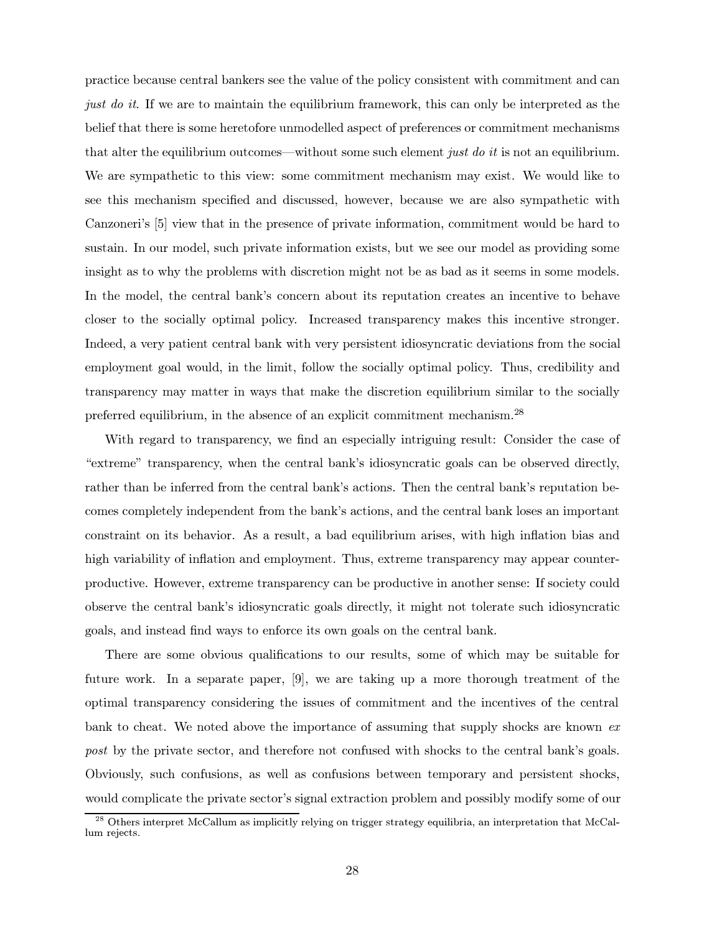practice because central bankers see the value of the policy consistent with commitment and can *just do it.* If we are to maintain the equilibrium framework, this can only be interpreted as the belief that there is some heretofore unmodelled aspect of preferences or commitment mechanisms that alter the equilibrium outcomes—without some such element just do it is not an equilibrium. We are sympathetic to this view: some commitment mechanism may exist. We would like to see this mechanism specified and discussed, however, because we are also sympathetic with Canzoneri's [5] view that in the presence of private information, commitment would be hard to sustain. In our model, such private information exists, but we see our model as providing some insight as to why the problems with discretion might not be as bad as it seems in some models. In the model, the central bank's concern about its reputation creates an incentive to behave closer to the socially optimal policy. Increased transparency makes this incentive stronger. Indeed, a very patient central bank with very persistent idiosyncratic deviations from the social employment goal would, in the limit, follow the socially optimal policy. Thus, credibility and transparency may matter in ways that make the discretion equilibrium similar to the socially preferred equilibrium, in the absence of an explicit commitment mechanism.<sup>28</sup>

With regard to transparency, we find an especially intriguing result: Consider the case of "extreme" transparency, when the central bank's idiosyncratic goals can be observed directly, rather than be inferred from the central bank's actions. Then the central bank's reputation becomes completely independent from the bank's actions, and the central bank loses an important constraint on its behavior. As a result, a bad equilibrium arises, with high inflation bias and high variability of inflation and employment. Thus, extreme transparency may appear counterproductive. However, extreme transparency can be productive in another sense: If society could observe the central bank's idiosyncratic goals directly, it might not tolerate such idiosyncratic goals, and instead find ways to enforce its own goals on the central bank.

There are some obvious qualifications to our results, some of which may be suitable for future work. In a separate paper,  $[9]$ , we are taking up a more thorough treatment of the optimal transparency considering the issues of commitment and the incentives of the central bank to cheat. We noted above the importance of assuming that supply shocks are known  $ex$ post by the private sector, and therefore not confused with shocks to the central bank's goals. Obviously, such confusions, as well as confusions between temporary and persistent shocks, would complicate the private sector's signal extraction problem and possibly modify some of our

 $^{28}$  Others interpret McCallum as implicitly relying on trigger strategy equilibria, an interpretation that McCallum rejects.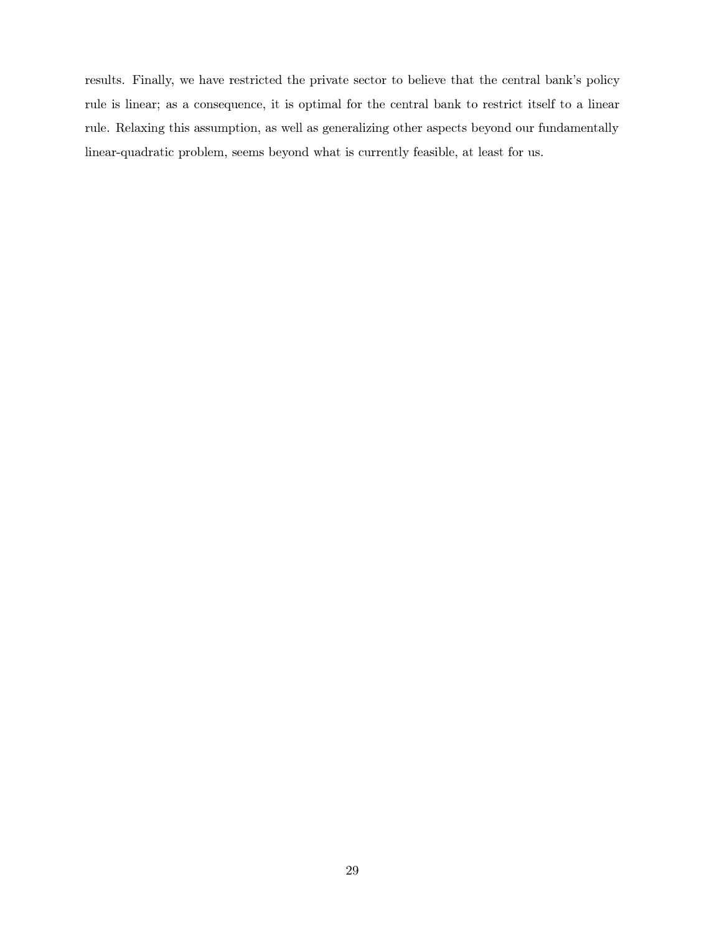results. Finally, we have restricted the private sector to believe that the central bank's policy rule is linear; as a consequence, it is optimal for the central bank to restrict itself to a linear rule. Relaxing this assumption, as well as generalizing other aspects beyond our fundamentally linear-quadratic problem, seems beyond what is currently feasible, at least for us.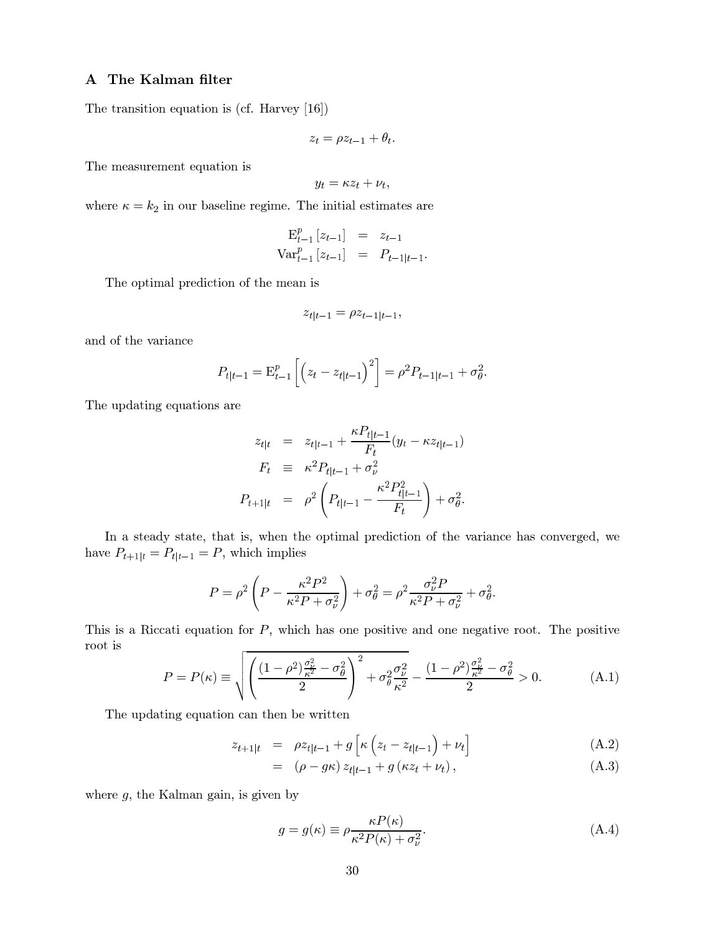## A The Kalman filter

The transition equation is (cf. Harvey  $[16]$ )

$$
z_t = \rho z_{t-1} + \theta_t.
$$

The measurement equation is

$$
y_t = \kappa z_t + \nu_t,
$$

where  $\kappa = k_2$  in our baseline regime. The initial estimates are

$$
\mathbf{E}_{t-1}^{p} [z_{t-1}] = z_{t-1}
$$
  
\n
$$
\text{Var}_{t-1}^{p} [z_{t-1}] = P_{t-1|t-1}.
$$

The optimal prediction of the mean is

$$
z_{t|t-1} = \rho z_{t-1|t-1},
$$

and of the variance

$$
P_{t|t-1} = \mathbf{E}_{t-1}^p \left[ \left( z_t - z_{t|t-1} \right)^2 \right] = \rho^2 P_{t-1|t-1} + \sigma_\theta^2.
$$

The updating equations are

$$
z_{t|t} = z_{t|t-1} + \frac{\kappa P_{t|t-1}}{F_t} (y_t - \kappa z_{t|t-1})
$$
  
\n
$$
F_t \equiv \kappa^2 P_{t|t-1} + \sigma_\nu^2
$$
  
\n
$$
P_{t+1|t} = \rho^2 \left( P_{t|t-1} - \frac{\kappa^2 P_{t|t-1}^2}{F_t} \right) + \sigma_\theta^2.
$$

In a steady state, that is, when the optimal prediction of the variance has converged, we have  $P_{t+1 | t} = P_{t | t-1} = P$ , which implies

$$
P = \rho^2 \left( P - \frac{\kappa^2 P^2}{\kappa^2 P + \sigma_\nu^2} \right) + \sigma_\theta^2 = \rho^2 \frac{\sigma_\nu^2 P}{\kappa^2 P + \sigma_\nu^2} + \sigma_\theta^2.
$$

This is a Riccati equation for  $P$ , which has one positive and one negative root. The positive root is

$$
P = P(\kappa) \equiv \sqrt{\left(\frac{(1-\rho^2)\frac{\sigma_{\nu}^2}{\kappa^2} - \sigma_{\theta}^2}{2}\right)^2 + \sigma_{\theta}^2 \frac{\sigma_{\nu}^2}{\kappa^2} - \frac{(1-\rho^2)\frac{\sigma_{\nu}^2}{\kappa^2} - \sigma_{\theta}^2}{2} > 0. \tag{A.1}
$$

The updating equation can then be written

$$
z_{t+1|t} = \rho z_{t|t-1} + g \left[ \kappa \left( z_t - z_{t|t-1} \right) + \nu_t \right] \tag{A.2}
$$

$$
= (\rho - g\kappa) z_{t|t-1} + g(\kappa z_t + \nu_t), \qquad (A.3)
$$

where  $g$ , the Kalman gain, is given by

$$
g = g(\kappa) \equiv \rho \frac{\kappa P(\kappa)}{\kappa^2 P(\kappa) + \sigma_\nu^2}.\tag{A.4}
$$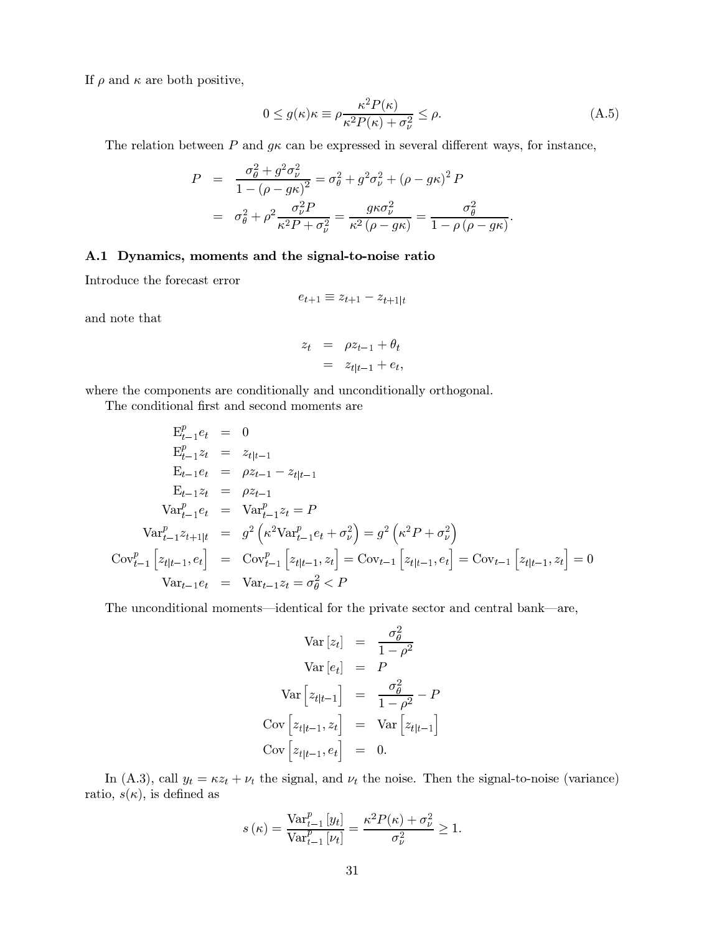If  $\rho$  and  $\kappa$  are both positive,

$$
0 \le g(\kappa)\kappa \equiv \rho \frac{\kappa^2 P(\kappa)}{\kappa^2 P(\kappa) + \sigma_\nu^2} \le \rho.
$$
 (A.5)

The relation between P and  $g\kappa$  can be expressed in several different ways, for instance,

$$
P = \frac{\sigma_{\theta}^{2} + g^{2} \sigma_{\nu}^{2}}{1 - (\rho - g \kappa)^{2}} = \sigma_{\theta}^{2} + g^{2} \sigma_{\nu}^{2} + (\rho - g \kappa)^{2} P
$$
  
=  $\sigma_{\theta}^{2} + \rho^{2} \frac{\sigma_{\nu}^{2} P}{\kappa^{2} P + \sigma_{\nu}^{2}} = \frac{g \kappa \sigma_{\nu}^{2}}{\kappa^{2} (\rho - g \kappa)} = \frac{\sigma_{\theta}^{2}}{1 - \rho (\rho - g \kappa)}.$ 

## A.1 Dynamics, moments and the signal-to-noise ratio

Introduce the forecast error

$$
e_{t+1} \equiv z_{t+1} - z_{t+1|t}
$$

and note that

$$
z_t = \rho z_{t-1} + \theta_t
$$
  
=  $z_{t|t-1} + e_t$ ,

where the components are conditionally and unconditionally orthogonal.

The conditional first and second moments are

$$
E_{t-1}^{p}e_{t} = 0
$$
  
\n
$$
E_{t-1}^{p}z_{t} = z_{t|t-1}
$$
  
\n
$$
E_{t-1}e_{t} = \rho z_{t-1} - z_{t|t-1}
$$
  
\n
$$
E_{t-1}z_{t} = \rho z_{t-1}
$$
  
\n
$$
Var_{t-1}^{p}e_{t} = Var_{t-1}^{p}z_{t} = P
$$
  
\n
$$
Var_{t-1}^{p}z_{t+1|t} = g^{2} \left(\kappa^{2}Var_{t-1}^{p}e_{t} + \sigma_{\nu}^{2}\right) = g^{2} \left(\kappa^{2}P + \sigma_{\nu}^{2}\right)
$$
  
\n
$$
Cov_{t-1}^{p} \left[z_{t|t-1}, e_{t}\right] = Cov_{t-1}^{p} \left[z_{t|t-1}, z_{t}\right] = Cov_{t-1} \left[z_{t|t-1}, e_{t}\right] = Cov_{t-1} \left[z_{t|t-1}, z_{t}\right] = 0
$$
  
\n
$$
Var_{t-1}e_{t} = Var_{t-1}z_{t} = \sigma_{\theta}^{2} < P
$$

The unconditional moments—identical for the private sector and central bank—are,

$$
Var [z_t] = \frac{\sigma_{\theta}^2}{1 - \rho^2}
$$

$$
Var [e_t] = P
$$

$$
Var \left[ z_{t|t-1} \right] = \frac{\sigma_{\theta}^2}{1 - \rho^2} - P
$$

$$
Cov \left[ z_{t|t-1}, z_t \right] = Var \left[ z_{t|t-1} \right]
$$

$$
Cov \left[ z_{t|t-1}, e_t \right] = 0.
$$

In (A.3), call  $y_t = \kappa z_t + \nu_t$  the signal, and  $\nu_t$  the noise. Then the signal-to-noise (variance) ratio,  $s(\kappa)$ , is defined as

$$
s(\kappa) = \frac{\text{Var}_{t-1}^{p}[y_t]}{\text{Var}_{t-1}^{p}[y_t]} = \frac{\kappa^2 P(\kappa) + \sigma_{\nu}^2}{\sigma_{\nu}^2} \ge 1.
$$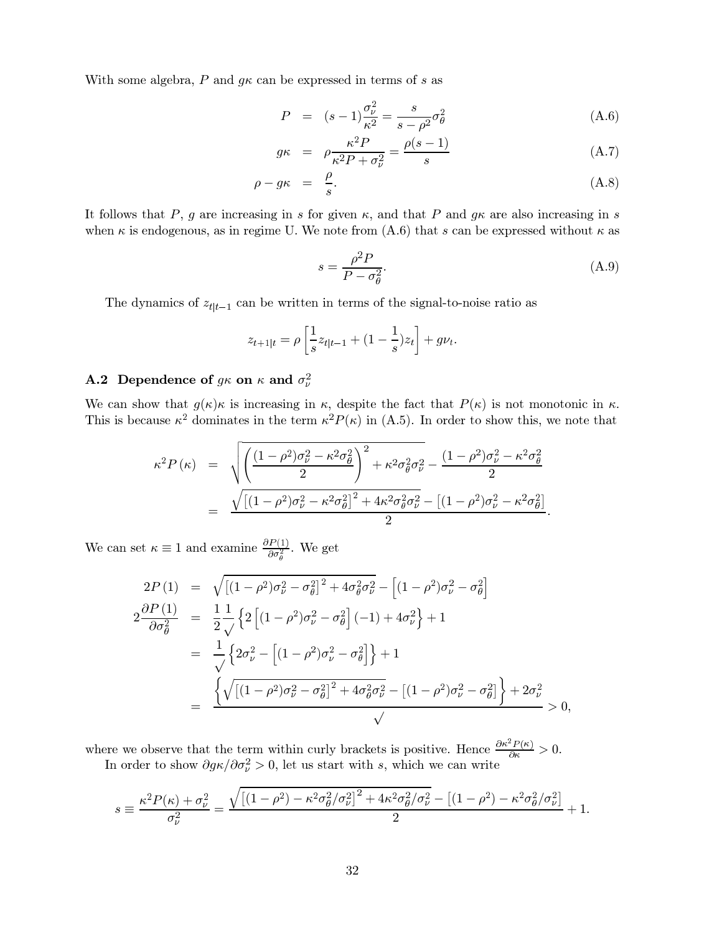With some algebra, P and  $g\kappa$  can be expressed in terms of s as

$$
P = (s-1)\frac{\sigma_{\nu}^2}{\kappa^2} = \frac{s}{s-\rho^2}\sigma_{\theta}^2
$$
 (A.6)

$$
g\kappa = \rho \frac{\kappa^2 P}{\kappa^2 P + \sigma_\nu^2} = \frac{\rho(s-1)}{s} \tag{A.7}
$$

$$
\rho - g\kappa = \frac{\rho}{s}.\tag{A.8}
$$

It follows that P, g are increasing in s for given  $\kappa$ , and that P and  $g\kappa$  are also increasing in s when  $\kappa$  is endogenous, as in regime U. We note from (A.6) that s can be expressed without  $\kappa$  as

$$
s = \frac{\rho^2 P}{P - \sigma_{\theta}^2}.\tag{A.9}
$$

The dynamics of  $z_{t|t-1}$  can be written in terms of the signal-to-noise ratio as

$$
z_{t+1|t} = \rho \left[ \frac{1}{s} z_{t|t-1} + (1 - \frac{1}{s}) z_t \right] + g \nu_t.
$$

# **A.2** Dependence of  $g\kappa$  on  $\kappa$  and  $\sigma_{\nu}^2$

We can show that  $g(\kappa)\kappa$  is increasing in  $\kappa$ , despite the fact that  $P(\kappa)$  is not monotonic in  $\kappa$ . This is because  $\kappa^2$  dominates in the term  $\kappa^2 P(\kappa)$  in (A.5). In order to show this, we note that

$$
\kappa^2 P(\kappa) = \sqrt{\left(\frac{(1-\rho^2)\sigma_\nu^2 - \kappa^2 \sigma_\theta^2}{2}\right)^2 + \kappa^2 \sigma_\theta^2 \sigma_\nu^2 - \frac{(1-\rho^2)\sigma_\nu^2 - \kappa^2 \sigma_\theta^2}{2}}{\sqrt{\left[(1-\rho^2)\sigma_\nu^2 - \kappa^2 \sigma_\theta^2\right]^2 + 4\kappa^2 \sigma_\theta^2 \sigma_\nu^2 - \left[(1-\rho^2)\sigma_\nu^2 - \kappa^2 \sigma_\theta^2\right]^2}}.
$$

We can set  $\kappa\equiv 1$  and examine  $\frac{\partial P(1)}{\partial \sigma_a^2}$  . We get

$$
2P(1) = \sqrt{\left[ (1 - \rho^2)\sigma_{\nu}^2 - \sigma_{\theta}^2 \right]^2 + 4\sigma_{\theta}^2 \sigma_{\nu}^2 - \left[ (1 - \rho^2)\sigma_{\nu}^2 - \sigma_{\theta}^2 \right]}
$$
  
\n
$$
2\frac{\partial P(1)}{\partial \sigma_{\theta}^2} = \frac{1}{2} \frac{1}{\sqrt{\left[ 2\left[ (1 - \rho^2)\sigma_{\nu}^2 - \sigma_{\theta}^2 \right] (-1) + 4\sigma_{\nu}^2 \right] + 1}}
$$
  
\n
$$
= \frac{1}{\sqrt{\left[ 2\sigma_{\nu}^2 - \left[ (1 - \rho^2)\sigma_{\nu}^2 - \sigma_{\theta}^2 \right] \right] + 1}}
$$
  
\n
$$
= \frac{\left\{ \sqrt{\left[ (1 - \rho^2)\sigma_{\nu}^2 - \sigma_{\theta}^2 \right]^2 + 4\sigma_{\theta}^2 \sigma_{\nu}^2 - \left[ (1 - \rho^2)\sigma_{\nu}^2 - \sigma_{\theta}^2 \right] \right\} + 2\sigma_{\nu}^2}{\sqrt{\left[ (1 - \rho^2)\sigma_{\nu}^2 - \sigma_{\theta}^2 \right] + 4\sigma_{\theta}^2 \sigma_{\nu}^2}} > 0,
$$

where we observe that the term within curly brackets is positive. Hence  $\frac{\partial \kappa^2 P(\kappa)}{\partial \kappa} > 0$ .<br>In order to show  $\partial g \kappa / \partial \sigma_\nu^2 > 0$ , let us start with s, which we can write

$$
s \equiv \frac{\kappa^2 P(\kappa) + \sigma_\nu^2}{\sigma_\nu^2} = \frac{\sqrt{\left[ (1 - \rho^2) - \kappa^2 \sigma_\theta^2 / \sigma_\nu^2 \right]^2 + 4 \kappa^2 \sigma_\theta^2 / \sigma_\nu^2} - \left[ (1 - \rho^2) - \kappa^2 \sigma_\theta^2 / \sigma_\nu^2 \right]}{2} + 1.
$$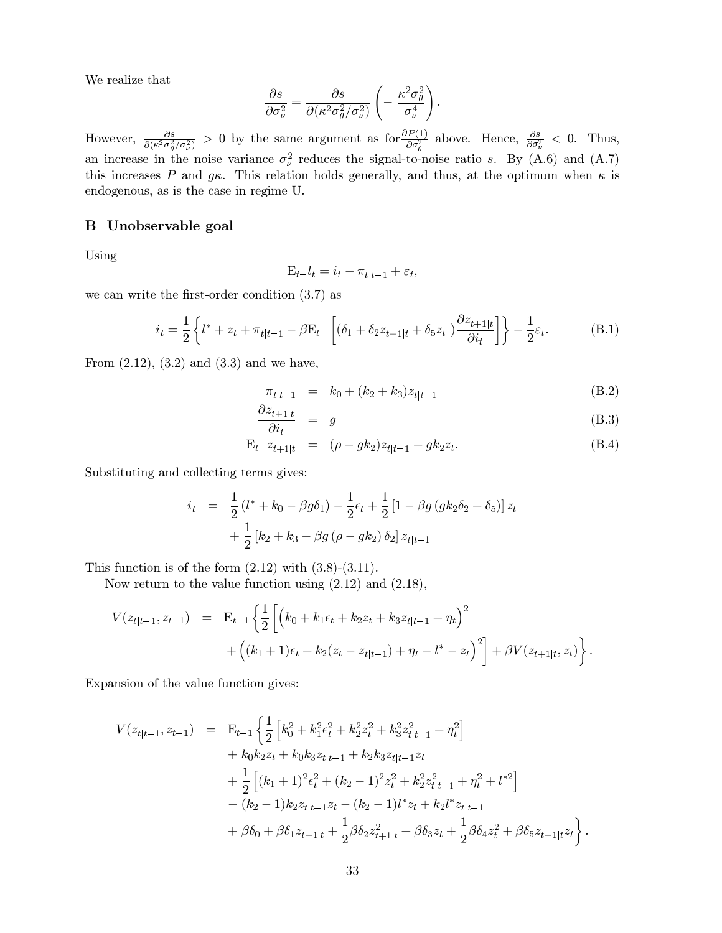We realize that

$$
\frac{\partial s}{\partial \sigma_{\nu}^2} = \frac{\partial s}{\partial (\kappa^2 \sigma_{\theta}^2 / \sigma_{\nu}^2)} \left( -\frac{\kappa^2 \sigma_{\theta}^2}{\sigma_{\nu}^4} \right).
$$

However,  $\frac{\partial s}{\partial (\kappa^2 \sigma_\theta^2 / \sigma_\nu^2)} > 0$  by the same argument as for  $\frac{\partial P(1)}{\partial \sigma_\theta^2}$  above. Hence,  $\frac{\partial s}{\partial \sigma_\nu^2} < 0$ . Thus, an increase in the noise variance  $\sigma_{\nu}^2$  reduces the signal-to-noise ratio s. By (A.6) and (A.7) this increases P and  $g\kappa$ . This relation holds generally, and thus, at the optimum when  $\kappa$  is endogenous, as is the case in regime U.

## **B** Unobservable goal

Using

$$
\mathbf{E}_{t-}l_t = i_t - \pi_{t|t-1} + \varepsilon_t,
$$

we can write the first-order condition  $(3.7)$  as

$$
i_t = \frac{1}{2} \left\{ l^* + z_t + \pi_{t|t-1} - \beta E_{t-} \left[ (\delta_1 + \delta_2 z_{t+1|t} + \delta_5 z_t) \frac{\partial z_{t+1|t}}{\partial i_t} \right] \right\} - \frac{1}{2} \varepsilon_t.
$$
 (B.1)

From  $(2.12)$ ,  $(3.2)$  and  $(3.3)$  and we have,

$$
\pi_{t|t-1} = k_0 + (k_2 + k_3)z_{t|t-1}
$$
\n(B.2)

$$
\frac{\partial z_{t+1|t}}{\partial i_t} = g \tag{B.3}
$$

$$
E_{t-}z_{t+1|t} = (\rho - g k_2)z_{t|t-1} + g k_2 z_t.
$$
 (B.4)

Substituting and collecting terms gives:

$$
i_{t} = \frac{1}{2} (l^{*} + k_{0} - \beta g \delta_{1}) - \frac{1}{2} \epsilon_{t} + \frac{1}{2} [1 - \beta g (g k_{2} \delta_{2} + \delta_{5})] z_{t}
$$

$$
+ \frac{1}{2} [k_{2} + k_{3} - \beta g (\rho - g k_{2}) \delta_{2}] z_{t|t-1}
$$

This function is of the form  $(2.12)$  with  $(3.8)-(3.11)$ .

Now return to the value function using  $(2.12)$  and  $(2.18)$ ,

$$
V(z_{t|t-1}, z_{t-1}) = \mathbf{E}_{t-1} \left\{ \frac{1}{2} \left[ \left( k_0 + k_1 \epsilon_t + k_2 z_t + k_3 z_{t|t-1} + \eta_t \right)^2 + \left( (k_1 + 1) \epsilon_t + k_2 (z_t - z_{t|t-1}) + \eta_t - l^* - z_t \right)^2 \right] + \beta V(z_{t+1|t}, z_t) \right\}.
$$

Expansion of the value function gives:

$$
V(z_{t|t-1}, z_{t-1}) = \mathbf{E}_{t-1} \left\{ \frac{1}{2} \left[ k_0^2 + k_1^2 \epsilon_t^2 + k_2^2 z_t^2 + k_3^2 z_{t|t-1}^2 + \eta_t^2 \right] + k_0 k_2 z_t + k_0 k_3 z_{t|t-1} + k_2 k_3 z_{t|t-1} z_t + \frac{1}{2} \left[ (k_1 + 1)^2 \epsilon_t^2 + (k_2 - 1)^2 z_t^2 + k_2^2 z_{t|t-1}^2 + \eta_t^2 + l^{*2} \right] - (k_2 - 1) k_2 z_{t|t-1} z_t - (k_2 - 1) l^* z_t + k_2 l^* z_{t|t-1} + \beta \delta_0 + \beta \delta_1 z_{t+1|t} + \frac{1}{2} \beta \delta_2 z_{t+1|t}^2 + \beta \delta_3 z_t + \frac{1}{2} \beta \delta_4 z_t^2 + \beta \delta_5 z_{t+1|t} z_t \right\}.
$$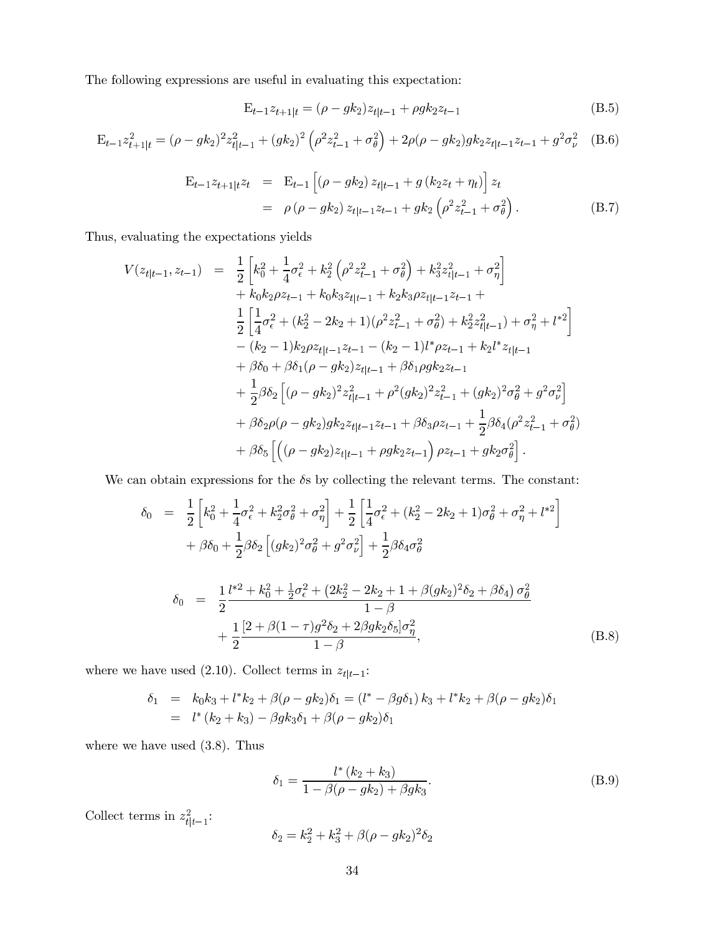The following expressions are useful in evaluating this expectation:

$$
E_{t-1}z_{t+1|t} = (\rho - g k_2)z_{t|t-1} + \rho g k_2 z_{t-1}
$$
\n(B.5)

$$
E_{t-1}z_{t+1|t}^2 = (\rho - g k_2)^2 z_{t|t-1}^2 + (g k_2)^2 (\rho^2 z_{t-1}^2 + \sigma_\theta^2) + 2\rho(\rho - g k_2) g k_2 z_{t|t-1} z_{t-1} + g^2 \sigma_\nu^2
$$
 (B.6)

$$
E_{t-1}z_{t+1|t}z_t = E_{t-1} \left[ (\rho - g k_2) z_{t|t-1} + g (k_2 z_t + \eta_t) \right] z_t
$$
  
=  $\rho (\rho - g k_2) z_{t|t-1} z_{t-1} + g k_2 \left( \rho^2 z_{t-1}^2 + \sigma_\theta^2 \right).$  (B.7)

Thus, evaluating the expectations yields

$$
V(z_{t|t-1}, z_{t-1}) = \frac{1}{2} \left[ k_0^2 + \frac{1}{4} \sigma_\epsilon^2 + k_2^2 \left( \rho^2 z_{t-1}^2 + \sigma_\theta^2 \right) + k_3^2 z_{t|t-1}^2 + \sigma_\eta^2 \right] + k_0 k_2 \rho z_{t-1} + k_0 k_3 z_{t|t-1} + k_2 k_3 \rho z_{t|t-1} z_{t-1} + \frac{1}{2} \left[ \frac{1}{4} \sigma_\epsilon^2 + (k_2^2 - 2k_2 + 1)(\rho^2 z_{t-1}^2 + \sigma_\theta^2) + k_2^2 z_{t|t-1}^2 \right) + \sigma_\eta^2 + l^{*2} \right] - (k_2 - 1) k_2 \rho z_{t|t-1} z_{t-1} - (k_2 - 1) l^* \rho z_{t-1} + k_2 l^* z_{t|t-1} + \beta \delta_0 + \beta \delta_1 (\rho - g k_2) z_{t|t-1} + \beta \delta_1 \rho g k_2 z_{t-1} + \frac{1}{2} \beta \delta_2 \left[ (\rho - g k_2)^2 z_{t|t-1}^2 + \rho^2 (g k_2)^2 z_{t-1}^2 + (g k_2)^2 \sigma_\theta^2 + g^2 \sigma_\nu^2 \right] + \beta \delta_2 \rho (\rho - g k_2) g k_2 z_{t|t-1} z_{t-1} + \beta \delta_3 \rho z_{t-1} + \frac{1}{2} \beta \delta_4 (\rho^2 z_{t-1}^2 + \sigma_\theta^2) + \beta \delta_5 \left[ \left( (\rho - g k_2) z_{t|t-1} + \rho g k_2 z_{t-1} \right) \rho z_{t-1} + g k_2 \sigma_\theta^2 \right].
$$

We can obtain expressions for the  $\delta s$  by collecting the relevant terms. The constant:

$$
\delta_0 = \frac{1}{2} \left[ k_0^2 + \frac{1}{4} \sigma_\epsilon^2 + k_2^2 \sigma_\theta^2 + \sigma_\eta^2 \right] + \frac{1}{2} \left[ \frac{1}{4} \sigma_\epsilon^2 + (k_2^2 - 2k_2 + 1) \sigma_\theta^2 + \sigma_\eta^2 + l^{*2} \right] + \beta \delta_0 + \frac{1}{2} \beta \delta_2 \left[ (g k_2)^2 \sigma_\theta^2 + g^2 \sigma_\nu^2 \right] + \frac{1}{2} \beta \delta_4 \sigma_\theta^2
$$

$$
\delta_0 = \frac{1}{2} \frac{l^{*2} + k_0^2 + \frac{1}{2} \sigma_\epsilon^2 + (2k_2^2 - 2k_2 + 1 + \beta (g k_2)^2 \delta_2 + \beta \delta_4) \sigma_\theta^2}{1 - \beta} + \frac{1}{2} \frac{[2 + \beta (1 - \tau) g^2 \delta_2 + 2 \beta g k_2 \delta_5] \sigma_\eta^2}{1 - \beta},
$$
\n(B.8)

where we have used (2.10). Collect terms in  $z_{t \mid t-1}{:}$ 

$$
\begin{array}{rcl}\n\delta_1 & = & k_0 k_3 + l^* k_2 + \beta(\rho - g k_2) \delta_1 = (l^* - \beta g \delta_1) k_3 + l^* k_2 + \beta(\rho - g k_2) \delta_1 \\
& = & l^* \left( k_2 + k_3 \right) - \beta g k_3 \delta_1 + \beta(\rho - g k_2) \delta_1\n\end{array}
$$

where we have used  $(3.8)$ . Thus

$$
\delta_1 = \frac{l^* (k_2 + k_3)}{1 - \beta(\rho - g k_2) + \beta g k_3}.
$$
 (B.9)

Collect terms in  $z_{t|_{t-1}}^2$ :

$$
\delta_2 = k_2^2 + k_3^2 + \beta(\rho - g k_2)^2 \delta_2
$$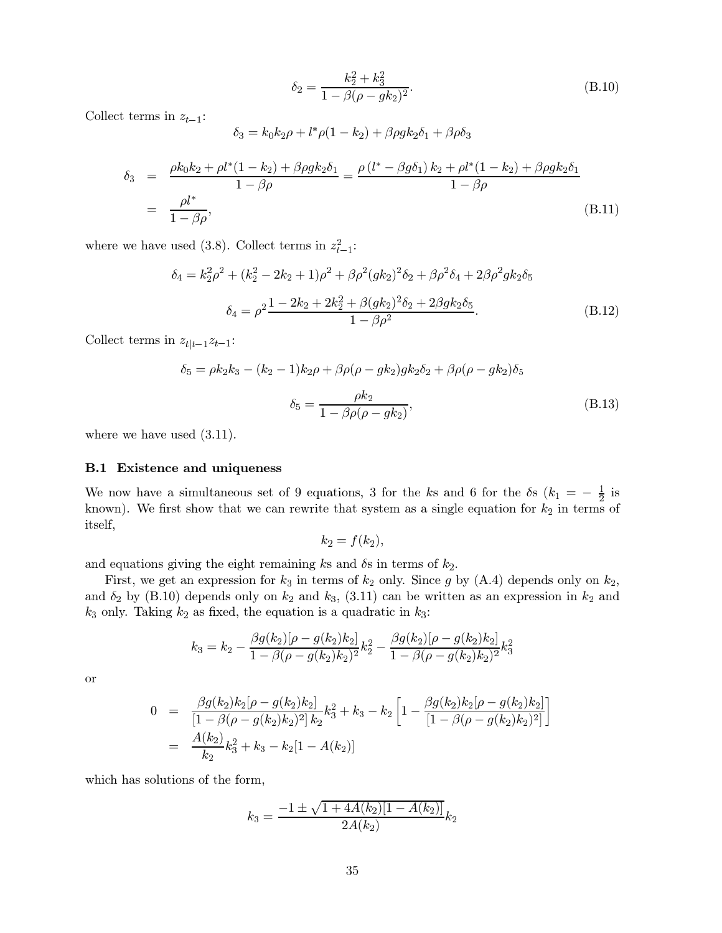$$
\delta_2 = \frac{k_2^2 + k_3^2}{1 - \beta(\rho - g k_2)^2}.
$$
\n(B.10)

Collect terms in  $z_{t-1}$ :

$$
\delta_3 = k_0 k_2 \rho + l^* \rho (1 - k_2) + \beta \rho g k_2 \delta_1 + \beta \rho \delta_3
$$

$$
\delta_3 = \frac{\rho k_0 k_2 + \rho l^* (1 - k_2) + \beta \rho g k_2 \delta_1}{1 - \beta \rho} = \frac{\rho (l^* - \beta g \delta_1) k_2 + \rho l^* (1 - k_2) + \beta \rho g k_2 \delta_1}{1 - \beta \rho}
$$
\n
$$
= \frac{\rho l^*}{1 - \beta \rho},
$$
\n(B.11)

where we have used (3.8). Collect terms in  $z_{t-1}^2$ :

$$
\delta_4 = k_2^2 \rho^2 + (k_2^2 - 2k_2 + 1)\rho^2 + \beta \rho^2 (g k_2)^2 \delta_2 + \beta \rho^2 \delta_4 + 2\beta \rho^2 g k_2 \delta_5
$$

$$
\delta_4 = \rho^2 \frac{1 - 2k_2 + 2k_2^2 + \beta (g k_2)^2 \delta_2 + 2\beta g k_2 \delta_5}{1 - \beta \rho^2}.
$$
(B.12)

Collect terms in  $z_{t|t-1}z_{t-1}$ :

$$
\delta_5 = \rho k_2 k_3 - (k_2 - 1)k_2 \rho + \beta \rho (\rho - g k_2) g k_2 \delta_2 + \beta \rho (\rho - g k_2) \delta_5
$$

$$
\delta_5 = \frac{\rho k_2}{1 - \beta \rho (\rho - g k_2)},
$$
(B.13)

where we have used  $(3.11)$ .

### **B.1** Existence and uniqueness

We now have a simultaneous set of 9 equations, 3 for the ks and 6 for the  $\delta s$  ( $k_1 = -\frac{1}{2}$  is known). We first show that we can rewrite that system as a single equation for  $k_2$  in terms of itself,

$$
k_2=f(k_2),
$$

and equations giving the eight remaining ks and  $\delta s$  in terms of  $k_2$ .

First, we get an expression for  $k_3$  in terms of  $k_2$  only. Since g by (A.4) depends only on  $k_2$ , and  $\delta_2$  by (B.10) depends only on  $k_2$  and  $k_3$ , (3.11) can be written as an expression in  $k_2$  and  $k_3$  only. Taking  $k_2$  as fixed, the equation is a quadratic in  $k_3$ :

$$
k_3=k_2-\frac{\beta g(k_2)[\rho-g(k_2)k_2]}{1-\beta(\rho-g(k_2)k_2)^2}k_2^2-\frac{\beta g(k_2)[\rho-g(k_2)k_2]}{1-\beta(\rho-g(k_2)k_2)^2}k_3^2
$$

**or** 

$$
0 = \frac{\beta g(k_2)k_2[\rho - g(k_2)k_2]}{[1 - \beta(\rho - g(k_2)k_2)^2]k_2}k_3^2 + k_3 - k_2 \left[1 - \frac{\beta g(k_2)k_2[\rho - g(k_2)k_2]}{[1 - \beta(\rho - g(k_2)k_2)^2]}\right]
$$
  
= 
$$
\frac{A(k_2)}{k_2}k_3^2 + k_3 - k_2[1 - A(k_2)]
$$

which has solutions of the form,

$$
k_3 = \frac{-1 \pm \sqrt{1 + 4A(k_2)[1 - A(k_2)]}}{2A(k_2)}k_2
$$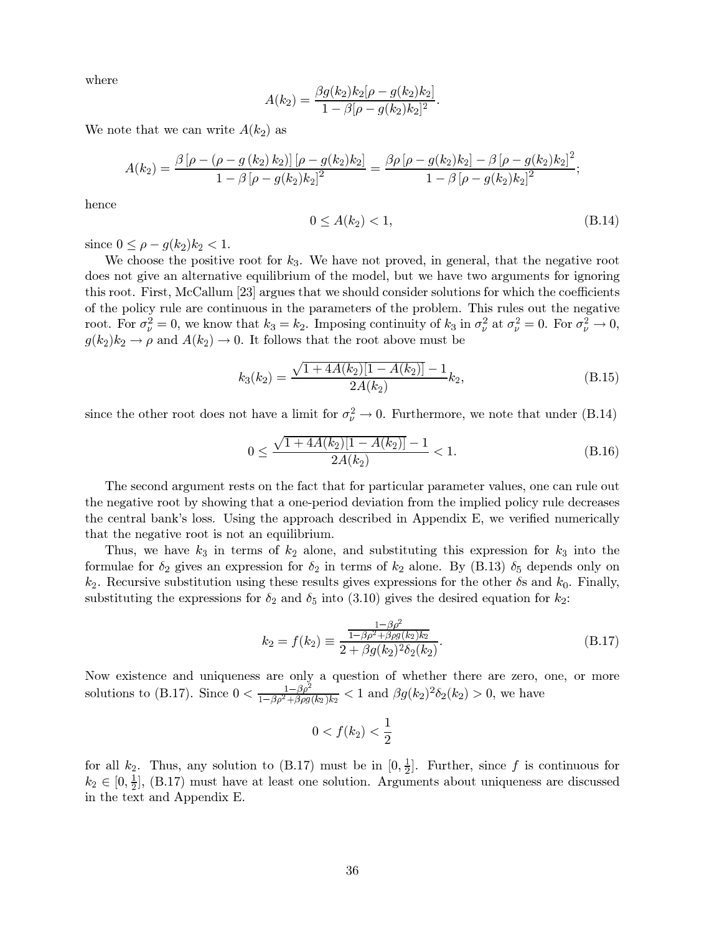where

$$
A(k_2) = \frac{\beta g(k_2)k_2[\rho - g(k_2)k_2]}{1 - \beta[\rho - g(k_2)k_2]^2}.
$$

We note that we can write  $A(k_2)$  as

$$
A(k_2)=\frac{\beta\left[\rho-\left(\rho-g\left(k_2\right)k_2\right)\right]\left[\rho-g(k_2)k_2\right]}{1-\beta\left[\rho-g(k_2)k_2\right]^2}=\frac{\beta\rho\left[\rho-g(k_2)k_2\right]-\beta\left[\rho-g(k_2)k_2\right]^2}{1-\beta\left[\rho-g(k_2)k_2\right]^2};
$$

hence

$$
0 \le A(k_2) < 1,\tag{B.14}
$$

since  $0 \leq \rho - q(k_2)k_2 < 1$ .

We choose the positive root for  $k_3$ . We have not proved, in general, that the negative root does not give an alternative equilibrium of the model, but we have two arguments for ignoring this root. First, McCallum [23] argues that we should consider solutions for which the coefficients of the policy rule are continuous in the parameters of the problem. This rules out the negative root. For  $\sigma_{\nu}^2 = 0$ , we know that  $k_3 = k_2$ . Imposing continuity of  $k_3$  in  $\sigma_{\nu}^2$  at  $\sigma_{\nu}^2 = 0$ . For  $\sigma_{\nu}^2 \to 0$ ,  $g(k_2)k_2 \rightarrow \rho$  and  $A(k_2) \rightarrow 0$ . It follows that the root above must be

$$
k_3(k_2) = \frac{\sqrt{1 + 4A(k_2)[1 - A(k_2)]} - 1}{2A(k_2)} k_2,
$$
\n(B.15)

since the other root does not have a limit for  $\sigma_{\nu}^2 \rightarrow 0$ . Furthermore, we note that under (B.14)

$$
0 \le \frac{\sqrt{1 + 4A(k_2)[1 - A(k_2)]} - 1}{2A(k_2)} < 1. \tag{B.16}
$$

The second argument rests on the fact that for particular parameter values, one can rule out the negative root by showing that a one-period deviation from the implied policy rule decreases the central bank's loss. Using the approach described in Appendix E, we verified numerically that the negative root is not an equilibrium.

Thus, we have  $k_3$  in terms of  $k_2$  alone, and substituting this expression for  $k_3$  into the formulae for  $\delta_2$  gives an expression for  $\delta_2$  in terms of  $k_2$  alone. By (B.13)  $\delta_5$  depends only on  $k_2$ . Recursive substitution using these results gives expressions for the other  $\delta s$  and  $k_0$ . Finally, substituting the expressions for  $\delta_2$  and  $\delta_5$  into (3.10) gives the desired equation for  $k_2$ :

$$
k_2 = f(k_2) \equiv \frac{\frac{1 - \beta \rho^2}{1 - \beta \rho^2 + \beta \rho g(k_2) k_2}}{2 + \beta g(k_2)^2 \delta_2(k_2)}.
$$
(B.17)

Now existence and uniqueness are only a question of whether there are zero, one, or more solutions to (B.17). Since  $0 < \frac{1-\beta \rho^2}{1-\beta \rho^2 + \beta \rho g(k_2) k_2} < 1$  and  $\beta g(k_2)^2 \delta_2(k_2) > 0$ , we have

$$
0
$$

for all  $k_2$ . Thus, any solution to (B.17) must be in  $[0, \frac{1}{2}]$ . Further, since f is continuous for  $k_2 \in [0, \frac{1}{2}]$ , (B.17) must have at least one solution. Arguments about uniqueness are discussed in the text and Appendix E.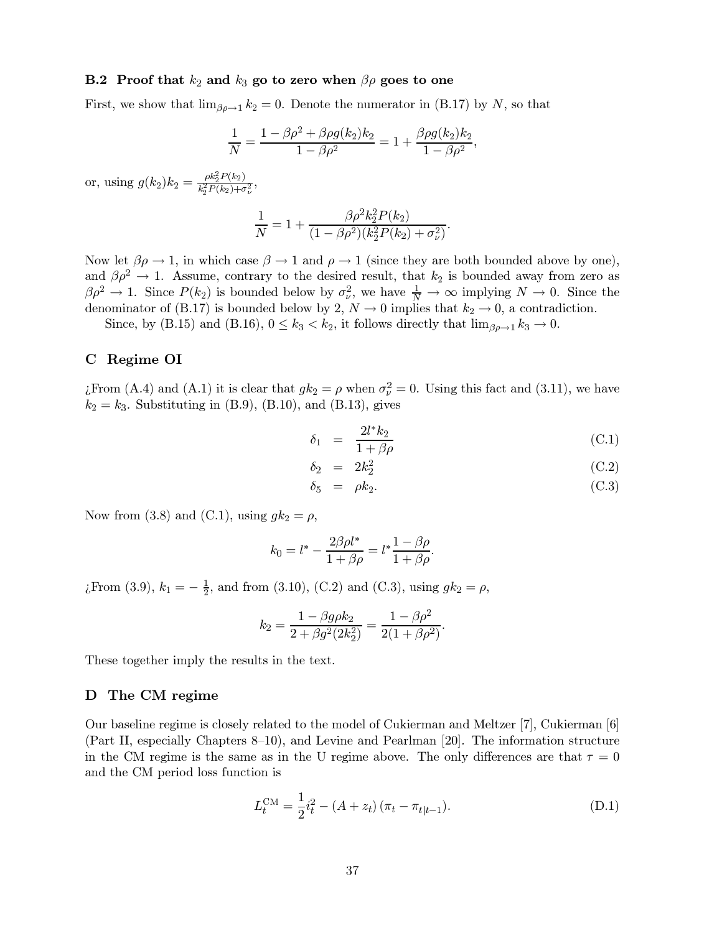#### **B.2** Proof that  $k_2$  and  $k_3$  go to zero when  $\beta \rho$  goes to one

First, we show that  $\lim_{\beta \rho \to 1} k_2 = 0$ . Denote the numerator in (B.17) by N, so that

$$
\frac{1}{N}=\frac{1-\beta\rho^2+\beta\rho g(k_2)k_2}{1-\beta\rho^2}=1+\frac{\beta\rho g(k_2)k_2}{1-\beta\rho^2},
$$

or, using  $g(k_2)k_2 = \frac{\rho k_2^2 P(k_2)}{k_2^2 P(k_2) + \sigma_2^2}$ ,

$$
\frac{1}{N} = 1 + \frac{\beta \rho^2 k_2^2 P(k_2)}{(1 - \beta \rho^2)(k_2^2 P(k_2) + \sigma_\nu^2)}
$$

Now let  $\beta \rho \to 1$ , in which case  $\beta \to 1$  and  $\rho \to 1$  (since they are both bounded above by one), and  $\beta \rho^2 \to 1$ . Assume, contrary to the desired result, that  $k_2$  is bounded away from zero as  $\beta \rho^2 \to 1$ . Since  $P(k_2)$  is bounded below by  $\sigma_{\nu}^2$ , we have  $\frac{1}{N} \to \infty$  implying  $N \to 0$ . Since the denominator of (B.17) is bounded below by 2,  $N \to 0$  implies that  $k_2 \to 0$ , a contradiction.

Since, by (B.15) and (B.16),  $0 \le k_3 < k_2$ , it follows directly that  $\lim_{\beta \rho \to 1} k_3 \to 0$ .

#### Regime OI  $\mathbf C$

¿From (A.4) and (A.1) it is clear that  $gk_2 = \rho$  when  $\sigma_{\nu}^2 = 0$ . Using this fact and (3.11), we have  $k_2 = k_3$ . Substituting in (B.9), (B.10), and (B.13), gives

$$
\delta_1 = \frac{2l^*k_2}{1+\beta\rho} \tag{C.1}
$$

$$
\delta_2 = 2k_2^2 \tag{C.2}
$$

$$
\delta_5 = \rho k_2. \tag{C.3}
$$

Now from (3.8) and (C.1), using  $gk_2 = \rho$ ,

$$
k_0 = l^* - \frac{2\beta \rho l^*}{1 + \beta \rho} = l^* \frac{1 - \beta \rho}{1 + \beta \rho}.
$$

*i*,From (3.9),  $k_1 = -\frac{1}{2}$ , and from (3.10), (C.2) and (C.3), using  $gk_2 = \rho$ ,

$$
k_2=\frac{1-\beta g \rho k_2}{2+\beta g^2(2k_2^2)}=\frac{1-\beta \rho^2}{2(1+\beta \rho^2)}
$$

These together imply the results in the text.

## D The CM regime

Our baseline regime is closely related to the model of Cukierman and Meltzer [7], Cukierman [6] (Part II, especially Chapters 8–10), and Levine and Pearlman [20]. The information structure in the CM regime is the same as in the U regime above. The only differences are that  $\tau = 0$ and the CM period loss function is

$$
L_t^{\text{CM}} = \frac{1}{2}i_t^2 - (A + z_t)(\pi_t - \pi_{t|t-1}).
$$
 (D.1)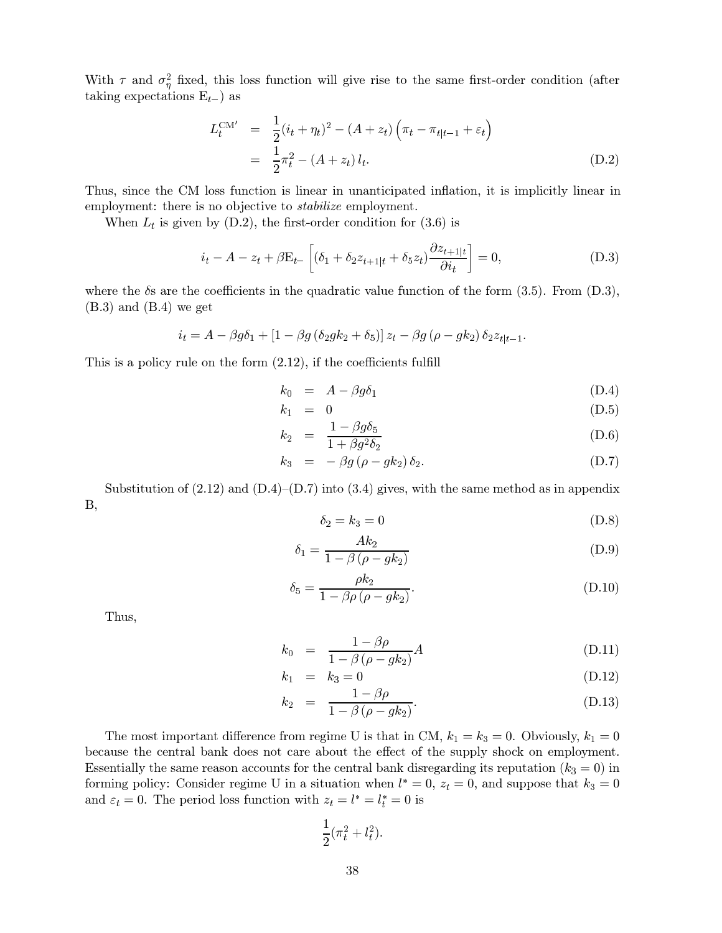With  $\tau$  and  $\sigma_{\eta}^2$  fixed, this loss function will give rise to the same first-order condition (after taking expectations  $E_{t-}$ ) as

$$
L_t^{\text{CM}'} = \frac{1}{2}(i_t + \eta_t)^2 - (A + z_t) \left(\pi_t - \pi_{t|t-1} + \varepsilon_t\right)
$$
  
= 
$$
\frac{1}{2}\pi_t^2 - (A + z_t) l_t.
$$
 (D.2)

Thus, since the CM loss function is linear in unanticipated inflation, it is implicitly linear in employment: there is no objective to *stabilize* employment.

When  $L_t$  is given by (D.2), the first-order condition for (3.6) is

$$
i_t - A - z_t + \beta E_{t-} \left[ (\delta_1 + \delta_2 z_{t+1|t} + \delta_5 z_t) \frac{\partial z_{t+1|t}}{\partial i_t} \right] = 0, \tag{D.3}
$$

where the  $\delta s$  are the coefficients in the quadratic value function of the form (3.5). From (D.3),  $(B.3)$  and  $(B.4)$  we get

$$
i_t = A - \beta g \delta_1 + \left[1 - \beta g \left(\delta_2 g k_2 + \delta_5\right)\right] z_t - \beta g \left(\rho - g k_2\right) \delta_2 z_{t|t-1}.
$$

This is a policy rule on the form  $(2.12)$ , if the coefficients fulfill

$$
k_0 = A - \beta g \delta_1 \tag{D.4}
$$

$$
k_1 = 0 \tag{D.5}
$$

$$
k_2 = \frac{1 - \beta g \delta_5}{1 + \beta g^2 \delta_2} \tag{D.6}
$$

$$
k_3 = -\beta g \left(\rho - g k_2\right) \delta_2. \tag{D.7}
$$

Substitution of  $(2.12)$  and  $(D.4)$ – $(D.7)$  into  $(3.4)$  gives, with the same method as in appendix **B**,

$$
\delta_2 = k_3 = 0 \tag{D.8}
$$

$$
\delta_1 = \frac{Ak_2}{1 - \beta(\rho - gk_2)}\tag{D.9}
$$

$$
\delta_5 = \frac{\rho k_2}{1 - \beta \rho \left(\rho - g k_2\right)}.\tag{D.10}
$$

Thus,

$$
k_0 = \frac{1 - \beta \rho}{1 - \beta (\rho - g k_2)} A
$$
 (D.11)

$$
k_1 = k_3 = 0 \tag{D.12}
$$

$$
k_2 = \frac{1 - \beta \rho}{1 - \beta (\rho - g k_2)}.
$$
 (D.13)

The most important difference from regime U is that in CM,  $k_1 = k_3 = 0$ . Obviously,  $k_1 = 0$ because the central bank does not care about the effect of the supply shock on employment. Essentially the same reason accounts for the central bank disregarding its reputation  $(k_3 = 0)$  in forming policy: Consider regime U in a situation when  $l^* = 0$ ,  $z_t = 0$ , and suppose that  $k_3 = 0$ and  $\varepsilon_t = 0$ . The period loss function with  $z_t = l^* = l^* = 0$  is

$$
\frac{1}{2}(\pi_t^2 + l_t^2).
$$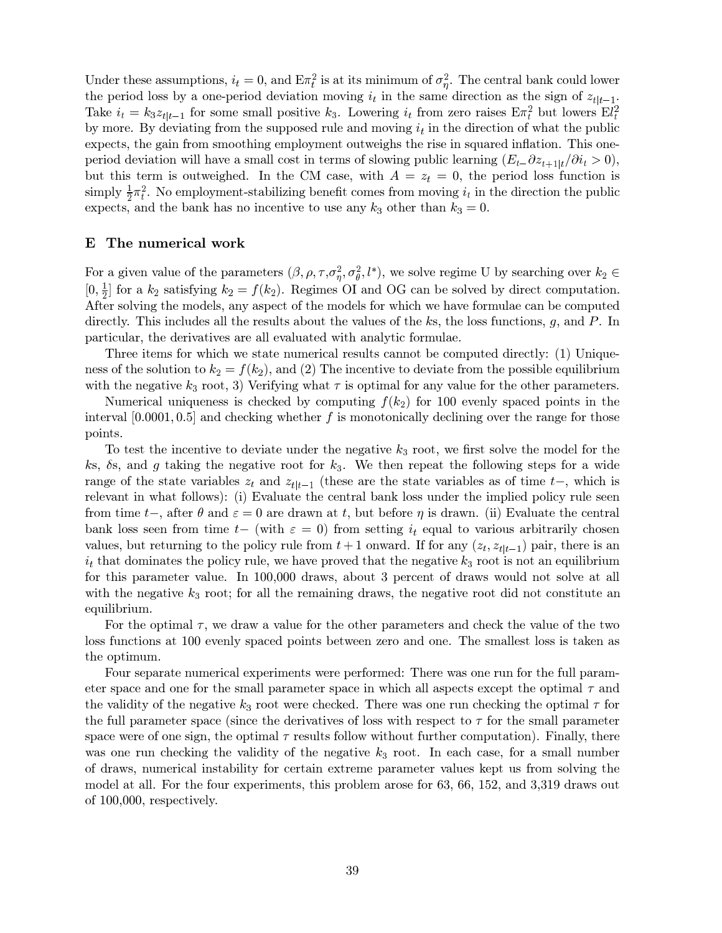Under these assumptions,  $i_t = 0$ , and  $E\pi_t^2$  is at its minimum of  $\sigma_n^2$ . The central bank could lower the period loss by a one-period deviation moving  $i_t$  in the same direction as the sign of  $z_{t|t-1}$ . Take  $i_t = k_3 z_{t|t-1}$  for some small positive  $k_3$ . Lowering  $i_t$  from zero raises  $E \pi_t^2$  but lowers  $E l_t^2$ by more. By deviating from the supposed rule and moving  $i_t$  in the direction of what the public expects, the gain from smoothing employment outweighs the rise in squared inflation. This oneperiod deviation will have a small cost in terms of slowing public learning  $(E_t - \partial z_{t+1|t}/\partial i_t > 0)$ , but this term is outweighed. In the CM case, with  $A = z_t = 0$ , the period loss function is simply  $\frac{1}{2}\pi_i^2$ . No employment-stabilizing benefit comes from moving  $i_t$  in the direction the public expects, and the bank has no incentive to use any  $k_3$  other than  $k_3 = 0$ .

## E The numerical work

For a given value of the parameters  $(\beta, \rho, \tau, \sigma_{\eta}^2, \sigma_{\theta}^2, l^*)$ , we solve regime U by searching over  $k_2 \in$  $[0, \frac{1}{2}]$  for a  $k_2$  satisfying  $k_2 = f(k_2)$ . Regimes OI and OG can be solved by direct computation. After solving the models, any aspect of the models for which we have formulae can be computed directly. This includes all the results about the values of the ks, the loss functions, g, and P. In particular, the derivatives are all evaluated with analytic formulae.

Three items for which we state numerical results cannot be computed directly: (1) Uniqueness of the solution to  $k_2 = f(k_2)$ , and (2) The incentive to deviate from the possible equilibrium with the negative  $k_3$  root, 3) Verifying what  $\tau$  is optimal for any value for the other parameters.

Numerical uniqueness is checked by computing  $f(k_2)$  for 100 evenly spaced points in the interval  $[0.0001, 0.5]$  and checking whether f is monotonically declining over the range for those points.

To test the incentive to deviate under the negative  $k_3$  root, we first solve the model for the ks,  $\delta$ s, and g taking the negative root for  $k_3$ . We then repeat the following steps for a wide range of the state variables  $z_t$  and  $z_{t|t-1}$  (these are the state variables as of time  $t-$ , which is relevant in what follows): (i) Evaluate the central bank loss under the implied policy rule seen from time  $t-$ , after  $\theta$  and  $\varepsilon = 0$  are drawn at t, but before  $\eta$  is drawn. (ii) Evaluate the central bank loss seen from time  $t-$  (with  $\varepsilon = 0$ ) from setting  $i_t$  equal to various arbitrarily chosen values, but returning to the policy rule from  $t+1$  onward. If for any  $(z_t, z_{t|t-1})$  pair, there is an  $i_t$  that dominates the policy rule, we have proved that the negative  $k_3$  root is not an equilibrium for this parameter value. In  $100,000$  draws, about 3 percent of draws would not solve at all with the negative  $k_3$  root; for all the remaining draws, the negative root did not constitute an equilibrium.

For the optimal  $\tau$ , we draw a value for the other parameters and check the value of the two loss functions at 100 evenly spaced points between zero and one. The smallest loss is taken as the optimum.

Four separate numerical experiments were performed: There was one run for the full parameter space and one for the small parameter space in which all aspects except the optimal  $\tau$  and the validity of the negative  $k_3$  root were checked. There was one run checking the optimal  $\tau$  for the full parameter space (since the derivatives of loss with respect to  $\tau$  for the small parameter space were of one sign, the optimal  $\tau$  results follow without further computation). Finally, there was one run checking the validity of the negative  $k_3$  root. In each case, for a small number of draws, numerical instability for certain extreme parameter values kept us from solving the model at all. For the four experiments, this problem arose for  $63, 66, 152,$  and  $3,319$  draws out of  $100,000$ , respectively.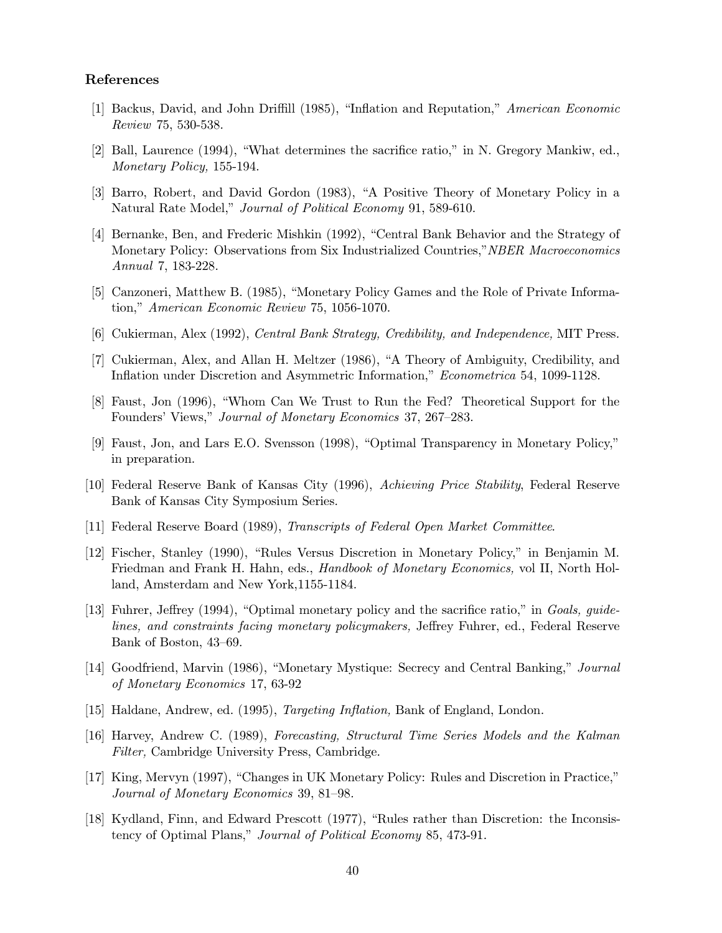## References

- [1] Backus, David, and John Driffill (1985), "Inflation and Reputation," American Economic Review 75, 530-538.
- [2] Ball, Laurence (1994), "What determines the sacrifice ratio," in N. Gregory Mankiw, ed., Monetary Policy, 155-194.
- [3] Barro, Robert, and David Gordon (1983), "A Positive Theory of Monetary Policy in a Natural Rate Model," Journal of Political Economy 91, 589-610.
- [4] Bernanke, Ben, and Frederic Mishkin (1992), "Central Bank Behavior and the Strategy of Monetary Policy: Observations from Six Industrialized Countries," NBER Macroeconomics Annual 7, 183-228.
- [5] Canzoneri, Matthew B. (1985), "Monetary Policy Games and the Role of Private Information," American Economic Review 75, 1056-1070.
- [6] Cukierman, Alex (1992), *Central Bank Strategy, Credibility, and Independence*, MIT Press.
- [7] Cukierman, Alex, and Allan H. Meltzer (1986), "A Theory of Ambiguity, Credibility, and Inflation under Discretion and Asymmetric Information," Econometrica 54, 1099-1128.
- [8] Faust, Jon (1996), "Whom Can We Trust to Run the Fed? Theoretical Support for the Founders' Views," Journal of Monetary Economics 37, 267-283.
- [9] Faust, Jon, and Lars E.O. Svensson (1998), "Optimal Transparency in Monetary Policy," in preparation.
- [10] Federal Reserve Bank of Kansas City (1996), Achieving Price Stability, Federal Reserve Bank of Kansas City Symposium Series.
- [11] Federal Reserve Board (1989), Transcripts of Federal Open Market Committee.
- [12] Fischer, Stanley (1990), "Rules Versus Discretion in Monetary Policy," in Benjamin M. Friedman and Frank H. Hahn, eds., Handbook of Monetary Economics, vol II, North Holland, Amsterdam and New York, 1155-1184.
- [13] Fuhrer, Jeffrey (1994), "Optimal monetary policy and the sacrifice ratio," in Goals, guidelines, and constraints facing monetary policymakers, Jeffrey Fuhrer, ed., Federal Reserve Bank of Boston, 43–69.
- [14] Goodfriend, Marvin (1986), "Monetary Mystique: Secrecy and Central Banking," Journal of Monetary Economics 17, 63-92
- [15] Haldane, Andrew, ed. (1995), *Targeting Inflation*, Bank of England, London.
- [16] Harvey, Andrew C. (1989), Forecasting, Structural Time Series Models and the Kalman Filter, Cambridge University Press, Cambridge.
- [17] King, Mervyn (1997), "Changes in UK Monetary Policy: Rules and Discretion in Practice," Journal of Monetary Economics 39, 81–98.
- [18] Kydland, Finn, and Edward Prescott (1977), "Rules rather than Discretion: the Inconsistency of Optimal Plans," Journal of Political Economy 85, 473-91.